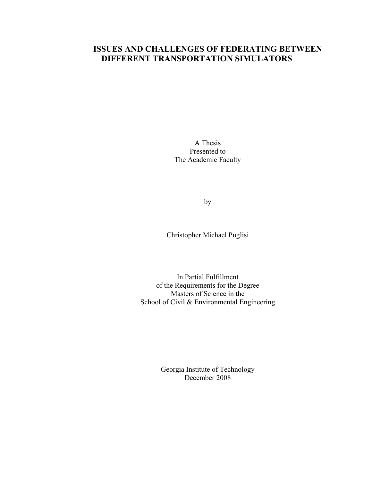# **ISSUES AND CHALLENGES OF FEDERATING BETWEEN DIFFERENT TRANSPORTATION SIMULATORS**

A Thesis Presented to The Academic Faculty

by

Christopher Michael Puglisi

In Partial Fulfillment of the Requirements for the Degree Masters of Science in the School of Civil & Environmental Engineering

> Georgia Institute of Technology December 2008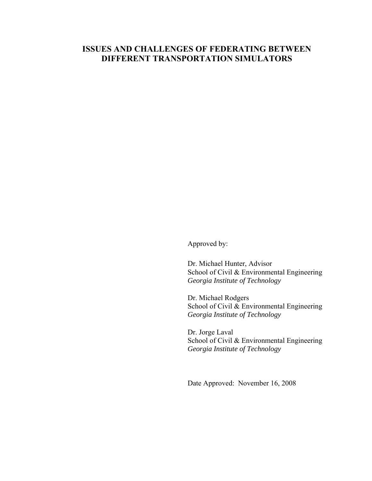# **ISSUES AND CHALLENGES OF FEDERATING BETWEEN DIFFERENT TRANSPORTATION SIMULATORS**

Approved by:

Dr. Michael Hunter, Advisor School of Civil & Environmental Engineering *Georgia Institute of Technology* 

Dr. Michael Rodgers School of Civil & Environmental Engineering *Georgia Institute of Technology*

Dr. Jorge Laval School of Civil & Environmental Engineering *Georgia Institute of Technology*

Date Approved: November 16, 2008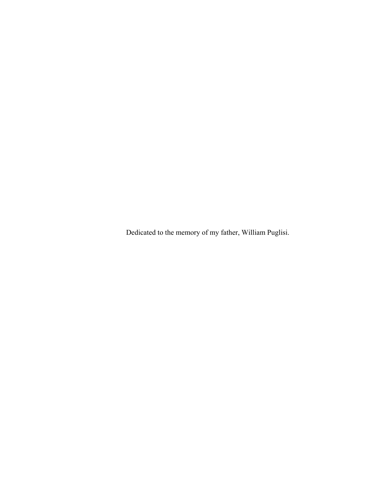Dedicated to the memory of my father, William Puglisi.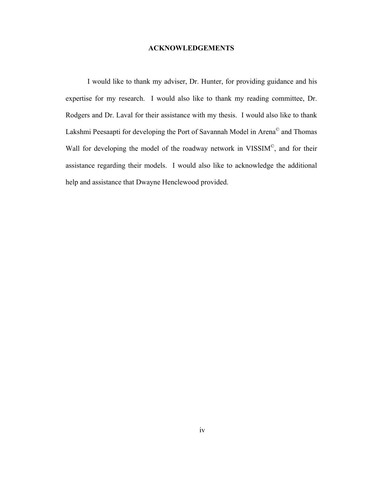### **ACKNOWLEDGEMENTS**

<span id="page-3-1"></span><span id="page-3-0"></span>I would like to thank my adviser, Dr. Hunter, for providing guidance and his expertise for my research. I would also like to thank my reading committee, Dr. Rodgers and Dr. Laval for their assistance with my thesis. I would also like to thank Lakshmi Peesaapti for developing the Port of Savannah Model in Arena© and Thomas Wall for developing the model of the roadway network in VISSIM<sup>©</sup>, and for their assistance regarding their models. I would also like to acknowledge the additional help and assistance that Dwayne Henclewood provided.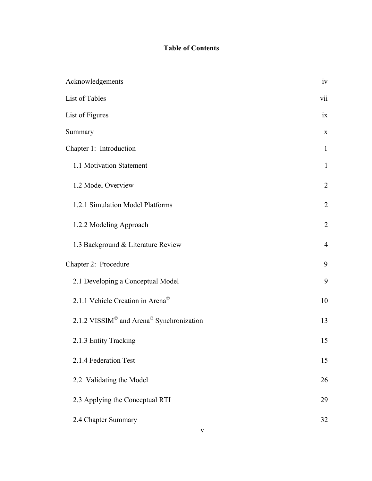# **Table of Contents**

| Acknowledgements                                                 | iv             |
|------------------------------------------------------------------|----------------|
| List of Tables                                                   | vii            |
| List of Figures                                                  | ix             |
| Summary                                                          | $\mathbf X$    |
| Chapter 1: Introduction                                          | $\mathbf{1}$   |
| 1.1 Motivation Statement                                         | $\mathbf{1}$   |
| 1.2 Model Overview                                               | $\overline{2}$ |
| 1.2.1 Simulation Model Platforms                                 | $\overline{2}$ |
| 1.2.2 Modeling Approach                                          | $\overline{2}$ |
| 1.3 Background & Literature Review                               | $\overline{4}$ |
| Chapter 2: Procedure                                             | 9              |
| 2.1 Developing a Conceptual Model                                | 9              |
| 2.1.1 Vehicle Creation in Arena <sup>©</sup>                     | 10             |
| 2.1.2 VISSIM <sup>©</sup> and Arena <sup>©</sup> Synchronization | 13             |
| 2.1.3 Entity Tracking                                            | 15             |
| 2.1.4 Federation Test                                            | 15             |
| 2.2 Validating the Model                                         | 26             |
| 2.3 Applying the Conceptual RTI                                  | 29             |
| 2.4 Chapter Summary                                              | 32             |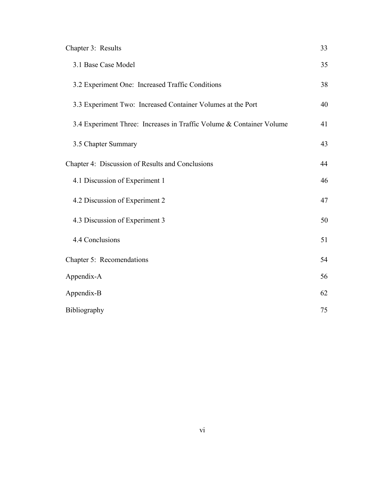| Chapter 3: Results                                                   | 33 |
|----------------------------------------------------------------------|----|
| 3.1 Base Case Model                                                  | 35 |
| 3.2 Experiment One: Increased Traffic Conditions                     | 38 |
| 3.3 Experiment Two: Increased Container Volumes at the Port          | 40 |
| 3.4 Experiment Three: Increases in Traffic Volume & Container Volume | 41 |
| 3.5 Chapter Summary                                                  | 43 |
| Chapter 4: Discussion of Results and Conclusions                     | 44 |
| 4.1 Discussion of Experiment 1                                       | 46 |
| 4.2 Discussion of Experiment 2                                       | 47 |
| 4.3 Discussion of Experiment 3                                       | 50 |
| 4.4 Conclusions                                                      | 51 |
| Chapter 5: Recomendations                                            | 54 |
| Appendix-A                                                           | 56 |
| Appendix-B                                                           | 62 |
| <b>Bibliography</b>                                                  | 75 |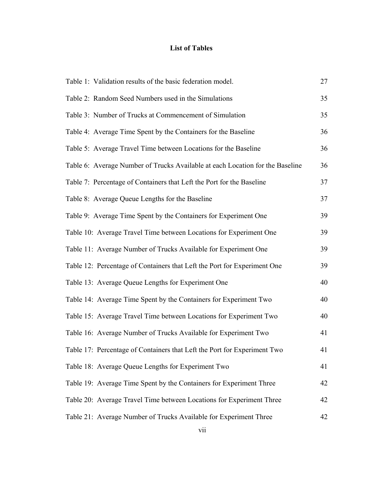# **List of Tables**

<span id="page-6-1"></span><span id="page-6-0"></span>

| Table 1: Validation results of the basic federation model.                    | 27 |
|-------------------------------------------------------------------------------|----|
| Table 2: Random Seed Numbers used in the Simulations                          | 35 |
| Table 3: Number of Trucks at Commencement of Simulation                       | 35 |
| Table 4: Average Time Spent by the Containers for the Baseline                | 36 |
| Table 5: Average Travel Time between Locations for the Baseline               | 36 |
| Table 6: Average Number of Trucks Available at each Location for the Baseline | 36 |
| Table 7: Percentage of Containers that Left the Port for the Baseline         | 37 |
| Table 8: Average Queue Lengths for the Baseline                               | 37 |
| Table 9: Average Time Spent by the Containers for Experiment One              | 39 |
| Table 10: Average Travel Time between Locations for Experiment One            | 39 |
| Table 11: Average Number of Trucks Available for Experiment One               | 39 |
| Table 12: Percentage of Containers that Left the Port for Experiment One      | 39 |
| Table 13: Average Queue Lengths for Experiment One                            | 40 |
| Table 14: Average Time Spent by the Containers for Experiment Two             | 40 |
| Table 15: Average Travel Time between Locations for Experiment Two            | 40 |
| Table 16: Average Number of Trucks Available for Experiment Two               | 41 |
| Table 17: Percentage of Containers that Left the Port for Experiment Two      | 41 |
| Table 18: Average Queue Lengths for Experiment Two                            | 41 |
| Table 19: Average Time Spent by the Containers for Experiment Three           | 42 |
| Table 20: Average Travel Time between Locations for Experiment Three          | 42 |
| Table 21: Average Number of Trucks Available for Experiment Three             | 42 |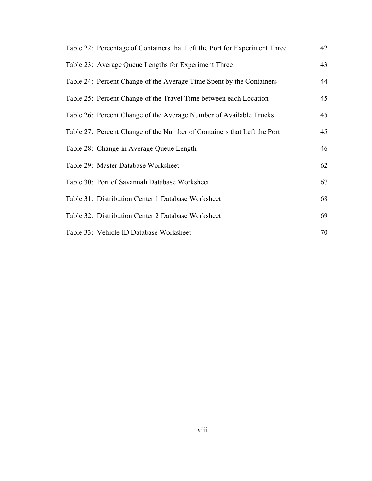| Table 22: Percentage of Containers that Left the Port for Experiment Three | 42 |
|----------------------------------------------------------------------------|----|
| Table 23: Average Queue Lengths for Experiment Three                       | 43 |
| Table 24: Percent Change of the Average Time Spent by the Containers       | 44 |
| Table 25: Percent Change of the Travel Time between each Location          | 45 |
| Table 26: Percent Change of the Average Number of Available Trucks         | 45 |
| Table 27: Percent Change of the Number of Containers that Left the Port    | 45 |
| Table 28: Change in Average Queue Length                                   | 46 |
| Table 29: Master Database Worksheet                                        | 62 |
| Table 30: Port of Savannah Database Worksheet                              | 67 |
| Table 31: Distribution Center 1 Database Worksheet                         | 68 |
| Table 32: Distribution Center 2 Database Worksheet                         | 69 |
| Table 33: Vehicle ID Database Worksheet                                    | 70 |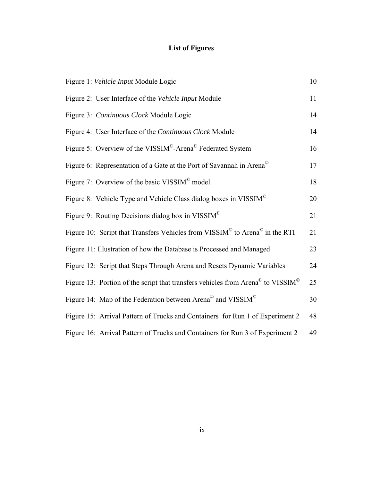# **List of Figures**

<span id="page-8-1"></span><span id="page-8-0"></span>

| Figure 1: Vehicle Input Module Logic                                                                    | 10 |
|---------------------------------------------------------------------------------------------------------|----|
| Figure 2: User Interface of the Vehicle Input Module                                                    | 11 |
| Figure 3: Continuous Clock Module Logic                                                                 | 14 |
| Figure 4: User Interface of the Continuous Clock Module                                                 | 14 |
| Figure 5: Overview of the VISSIM <sup>©</sup> -Arena <sup>©</sup> Federated System                      | 16 |
| Figure 6: Representation of a Gate at the Port of Savannah in Arena <sup>©</sup>                        | 17 |
| Figure 7: Overview of the basic VISSIM <sup>®</sup> model                                               | 18 |
| Figure 8: Vehicle Type and Vehicle Class dialog boxes in VISSIM <sup>®</sup>                            | 20 |
| Figure 9: Routing Decisions dialog box in VISSIM <sup><math>\circ</math></sup>                          | 21 |
| Figure 10: Script that Transfers Vehicles from VISSIM <sup>©</sup> to Arena <sup>©</sup> in the RTI     | 21 |
| Figure 11: Illustration of how the Database is Processed and Managed                                    | 23 |
| Figure 12: Script that Steps Through Arena and Resets Dynamic Variables                                 | 24 |
| Figure 13: Portion of the script that transfers vehicles from Arena <sup>©</sup> to VISSIM <sup>©</sup> | 25 |
| Figure 14: Map of the Federation between Arena <sup>©</sup> and VISSIM <sup>©</sup>                     | 30 |
| Figure 15: Arrival Pattern of Trucks and Containers for Run 1 of Experiment 2                           | 48 |
| Figure 16: Arrival Pattern of Trucks and Containers for Run 3 of Experiment 2                           | 49 |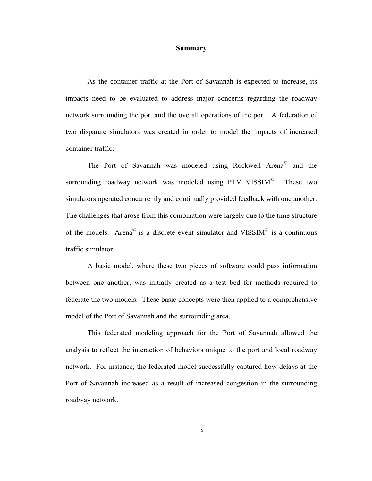#### **Summary**

<span id="page-9-1"></span><span id="page-9-0"></span>As the container traffic at the Port of Savannah is expected to increase, its impacts need to be evaluated to address major concerns regarding the roadway network surrounding the port and the overall operations of the port. A federation of two disparate simulators was created in order to model the impacts of increased container traffic.

The Port of Savannah was modeled using Rockwell Arena<sup>©</sup> and the surrounding roadway network was modeled using PTV VISSIM<sup>©</sup>. These two simulators operated concurrently and continually provided feedback with one another. The challenges that arose from this combination were largely due to the time structure of the models. Arena $^{\circ}$  is a discrete event simulator and VISSIM $^{\circ}$  is a continuous traffic simulator.

 A basic model, where these two pieces of software could pass information between one another, was initially created as a test bed for methods required to federate the two models. These basic concepts were then applied to a comprehensive model of the Port of Savannah and the surrounding area.

 This federated modeling approach for the Port of Savannah allowed the analysis to reflect the interaction of behaviors unique to the port and local roadway network. For instance, the federated model successfully captured how delays at the Port of Savannah increased as a result of increased congestion in the surrounding roadway network.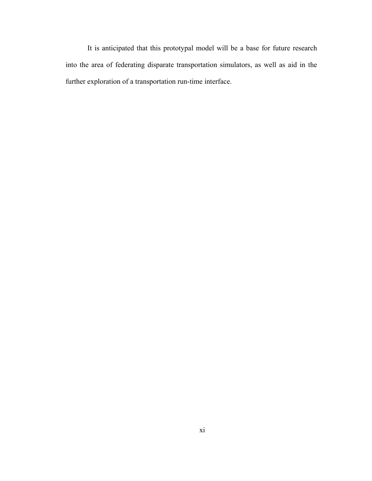It is anticipated that this prototypal model will be a base for future research into the area of federating disparate transportation simulators, as well as aid in the further exploration of a transportation run-time interface.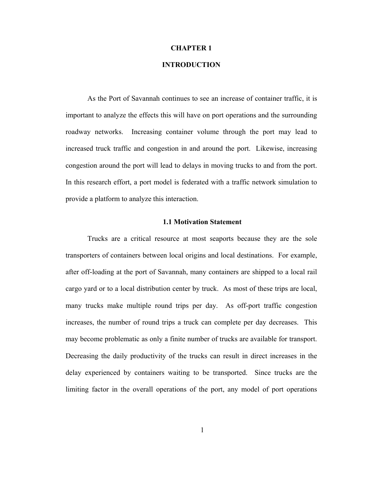#### **CHAPTER 1**

### **INTRODUCTION**

<span id="page-11-1"></span><span id="page-11-0"></span>As the Port of Savannah continues to see an increase of container traffic, it is important to analyze the effects this will have on port operations and the surrounding roadway networks. Increasing container volume through the port may lead to increased truck traffic and congestion in and around the port. Likewise, increasing congestion around the port will lead to delays in moving trucks to and from the port. In this research effort, a port model is federated with a traffic network simulation to provide a platform to analyze this interaction.

### **1.1 Motivation Statement**

<span id="page-11-2"></span>Trucks are a critical resource at most seaports because they are the sole transporters of containers between local origins and local destinations. For example, after off-loading at the port of Savannah, many containers are shipped to a local rail cargo yard or to a local distribution center by truck. As most of these trips are local, many trucks make multiple round trips per day. As off-port traffic congestion increases, the number of round trips a truck can complete per day decreases. This may become problematic as only a finite number of trucks are available for transport. Decreasing the daily productivity of the trucks can result in direct increases in the delay experienced by containers waiting to be transported. Since trucks are the limiting factor in the overall operations of the port, any model of port operations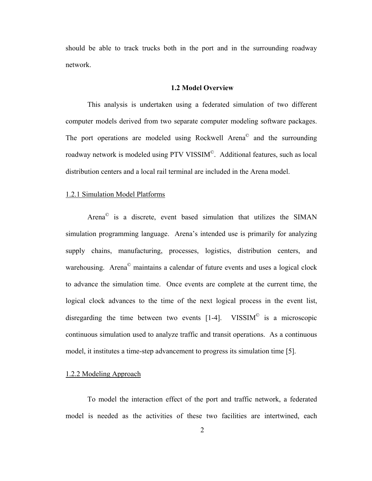<span id="page-12-0"></span>should be able to track trucks both in the port and in the surrounding roadway network.

#### **1.2 Model Overview**

<span id="page-12-1"></span>This analysis is undertaken using a federated simulation of two different computer models derived from two separate computer modeling software packages. The port operations are modeled using Rockwell Arena© and the surrounding roadway network is modeled using PTV VISSIM©. Additional features, such as local distribution centers and a local rail terminal are included in the Arena model.

#### <span id="page-12-2"></span>1.2.1 Simulation Model Platforms

Arena© is a discrete, event based simulation that utilizes the SIMAN simulation programming language. Arena's intended use is primarily for analyzing supply chains, manufacturing, processes, logistics, distribution centers, and warehousing. Arena<sup>©</sup> maintains a calendar of future events and uses a logical clock to advance the simulation time. Once events are complete at the current time, the logical clock advances to the time of the next logical process in the event list, disregarding the time between two events  $[1-4]$ . VISSIM<sup>®</sup> is a microscopic continuous simulation used to analyze traffic and transit operations. As a continuous model, it institutes a time-step advancement to progress its simulation time [5].

#### <span id="page-12-3"></span>1.2.2 Modeling Approach

To model the interaction effect of the port and traffic network, a federated model is needed as the activities of these two facilities are intertwined, each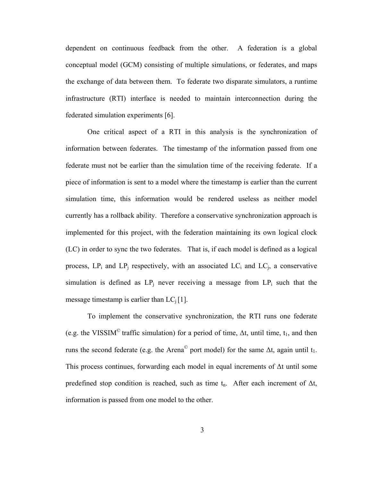dependent on continuous feedback from the other. A federation is a global conceptual model (GCM) consisting of multiple simulations, or federates, and maps the exchange of data between them. To federate two disparate simulators, a runtime infrastructure (RTI) interface is needed to maintain interconnection during the federated simulation experiments [6].

One critical aspect of a RTI in this analysis is the synchronization of information between federates. The timestamp of the information passed from one federate must not be earlier than the simulation time of the receiving federate. If a piece of information is sent to a model where the timestamp is earlier than the current simulation time, this information would be rendered useless as neither model currently has a rollback ability. Therefore a conservative synchronization approach is implemented for this project, with the federation maintaining its own logical clock (LC) in order to sync the two federates. That is, if each model is defined as a logical process,  $LP_i$  and  $LP_j$  respectively, with an associated  $LC_i$  and  $LC_j$ , a conservative simulation is defined as  $LP_i$  never receiving a message from  $LP_i$  such that the message timestamp is earlier than  $LC_i[1]$ .

To implement the conservative synchronization, the RTI runs one federate (e.g. the VISSIM<sup>©</sup> traffic simulation) for a period of time,  $\Delta t$ , until time,  $t_1$ , and then runs the second federate (e.g. the Arena<sup>©</sup> port model) for the same  $\Delta t$ , again until t<sub>1</sub>. This process continues, forwarding each model in equal increments of  $\Delta t$  until some predefined stop condition is reached, such as time  $t_n$ . After each increment of  $\Delta t$ , information is passed from one model to the other.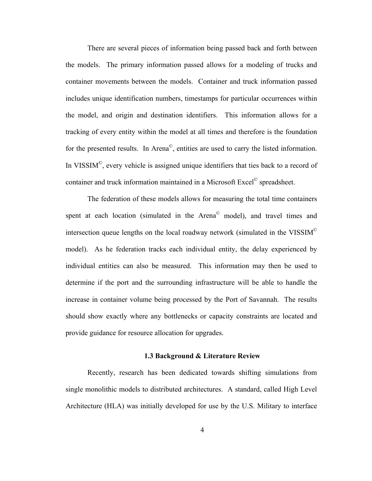<span id="page-14-0"></span>There are several pieces of information being passed back and forth between the models. The primary information passed allows for a modeling of trucks and container movements between the models. Container and truck information passed includes unique identification numbers, timestamps for particular occurrences within the model, and origin and destination identifiers. This information allows for a tracking of every entity within the model at all times and therefore is the foundation for the presented results. In Arena©, entities are used to carry the listed information. In VISSIM<sup>©</sup>, every vehicle is assigned unique identifiers that ties back to a record of container and truck information maintained in a Microsoft Excel© spreadsheet.

The federation of these models allows for measuring the total time containers spent at each location (simulated in the Arena<sup>®</sup> model), and travel times and intersection queue lengths on the local roadway network (simulated in the VISSIM<sup>©</sup> model). As he federation tracks each individual entity, the delay experienced by individual entities can also be measured. This information may then be used to determine if the port and the surrounding infrastructure will be able to handle the increase in container volume being processed by the Port of Savannah. The results should show exactly where any bottlenecks or capacity constraints are located and provide guidance for resource allocation for upgrades.

#### **1.3 Background & Literature Review**

<span id="page-14-1"></span>Recently, research has been dedicated towards shifting simulations from single monolithic models to distributed architectures. A standard, called High Level Architecture (HLA) was initially developed for use by the U.S. Military to interface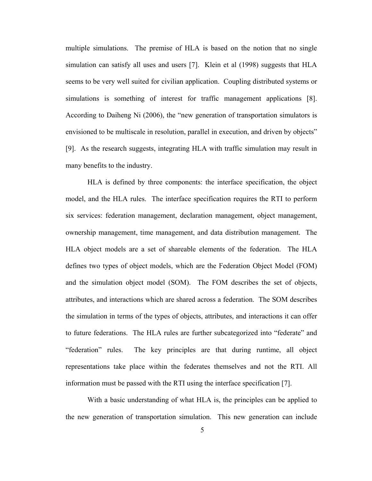multiple simulations. The premise of HLA is based on the notion that no single simulation can satisfy all uses and users [7]. Klein et al (1998) suggests that HLA seems to be very well suited for civilian application. Coupling distributed systems or simulations is something of interest for traffic management applications [8]. According to Daiheng Ni (2006), the "new generation of transportation simulators is envisioned to be multiscale in resolution, parallel in execution, and driven by objects" [9]. As the research suggests, integrating HLA with traffic simulation may result in many benefits to the industry.

HLA is defined by three components: the interface specification, the object model, and the HLA rules. The interface specification requires the RTI to perform six services: federation management, declaration management, object management, ownership management, time management, and data distribution management. The HLA object models are a set of shareable elements of the federation. The HLA defines two types of object models, which are the Federation Object Model (FOM) and the simulation object model (SOM). The FOM describes the set of objects, attributes, and interactions which are shared across a federation. The SOM describes the simulation in terms of the types of objects, attributes, and interactions it can offer to future federations. The HLA rules are further subcategorized into "federate" and "federation" rules. The key principles are that during runtime, all object representations take place within the federates themselves and not the RTI. All information must be passed with the RTI using the interface specification [7].

With a basic understanding of what HLA is, the principles can be applied to the new generation of transportation simulation. This new generation can include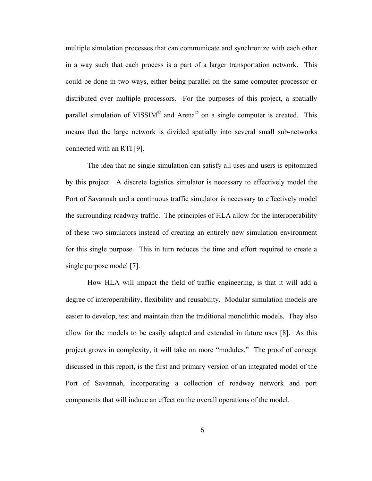multiple simulation processes that can communicate and synchronize with each other in a way such that each process is a part of a larger transportation network. This could be done in two ways, either being parallel on the same computer processor or distributed over multiple processors. For the purposes of this project, a spatially parallel simulation of VISSIM<sup> $\degree$ </sup> and Arena $\degree$  on a single computer is created. This means that the large network is divided spatially into several small sub-networks connected with an RTI [9].

The idea that no single simulation can satisfy all uses and users is epitomized by this project. A discrete logistics simulator is necessary to effectively model the Port of Savannah and a continuous traffic simulator is necessary to effectively model the surrounding roadway traffic. The principles of HLA allow for the interoperability of these two simulators instead of creating an entirely new simulation environment for this single purpose. This in turn reduces the time and effort required to create a single purpose model [7].

How HLA will impact the field of traffic engineering, is that it will add a degree of interoperability, flexibility and reusability. Modular simulation models are easier to develop, test and maintain than the traditional monolithic models. They also allow for the models to be easily adapted and extended in future uses [8]. As this project grows in complexity, it will take on more "modules." The proof of concept discussed in this report, is the first and primary version of an integrated model of the Port of Savannah, incorporating a collection of roadway network and port components that will induce an effect on the overall operations of the model.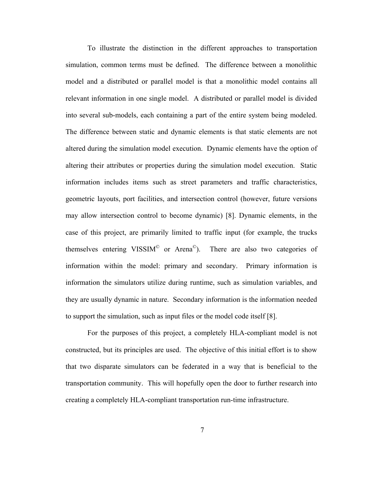To illustrate the distinction in the different approaches to transportation simulation, common terms must be defined. The difference between a monolithic model and a distributed or parallel model is that a monolithic model contains all relevant information in one single model. A distributed or parallel model is divided into several sub-models, each containing a part of the entire system being modeled. The difference between static and dynamic elements is that static elements are not altered during the simulation model execution. Dynamic elements have the option of altering their attributes or properties during the simulation model execution. Static information includes items such as street parameters and traffic characteristics, geometric layouts, port facilities, and intersection control (however, future versions may allow intersection control to become dynamic) [8]. Dynamic elements, in the case of this project, are primarily limited to traffic input (for example, the trucks themselves entering VISSIM<sup> $\degree$ </sup> or Arena $\degree$ ). There are also two categories of information within the model: primary and secondary. Primary information is information the simulators utilize during runtime, such as simulation variables, and they are usually dynamic in nature. Secondary information is the information needed to support the simulation, such as input files or the model code itself [8].

For the purposes of this project, a completely HLA-compliant model is not constructed, but its principles are used. The objective of this initial effort is to show that two disparate simulators can be federated in a way that is beneficial to the transportation community. This will hopefully open the door to further research into creating a completely HLA-compliant transportation run-time infrastructure.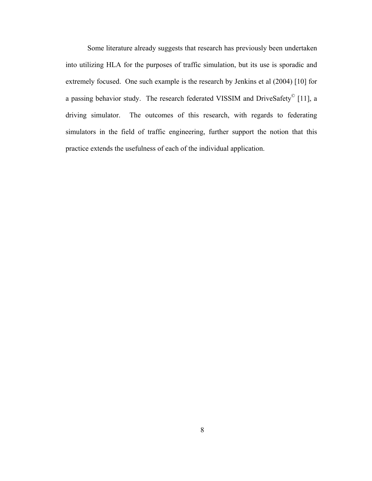Some literature already suggests that research has previously been undertaken into utilizing HLA for the purposes of traffic simulation, but its use is sporadic and extremely focused. One such example is the research by Jenkins et al (2004) [10] for a passing behavior study. The research federated VISSIM and DriveSafety© [11], a driving simulator. The outcomes of this research, with regards to federating simulators in the field of traffic engineering, further support the notion that this practice extends the usefulness of each of the individual application.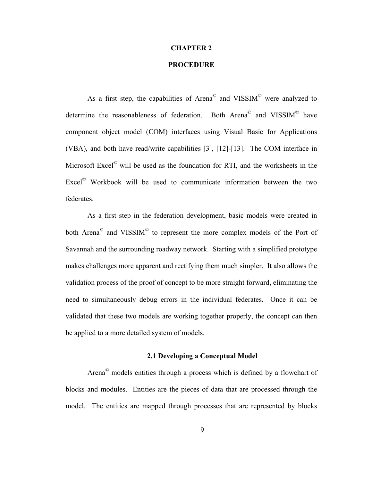#### **CHAPTER 2**

## **PROCEDURE**

<span id="page-19-1"></span><span id="page-19-0"></span>As a first step, the capabilities of Arena<sup>®</sup> and VISSIM<sup>©</sup> were analyzed to determine the reasonableness of federation. Both Arena© and VISSIM© have component object model (COM) interfaces using Visual Basic for Applications (VBA), and both have read/write capabilities [3], [12]-[13]. The COM interface in Microsoft Excel© will be used as the foundation for RTI, and the worksheets in the Excel© Workbook will be used to communicate information between the two federates.

As a first step in the federation development, basic models were created in both Arena<sup>©</sup> and VISSIM<sup>©</sup> to represent the more complex models of the Port of Savannah and the surrounding roadway network. Starting with a simplified prototype makes challenges more apparent and rectifying them much simpler. It also allows the validation process of the proof of concept to be more straight forward, eliminating the need to simultaneously debug errors in the individual federates. Once it can be validated that these two models are working together properly, the concept can then be applied to a more detailed system of models.

## **2.1 Developing a Conceptual Model**

<span id="page-19-2"></span>Arena© models entities through a process which is defined by a flowchart of blocks and modules. Entities are the pieces of data that are processed through the model. The entities are mapped through processes that are represented by blocks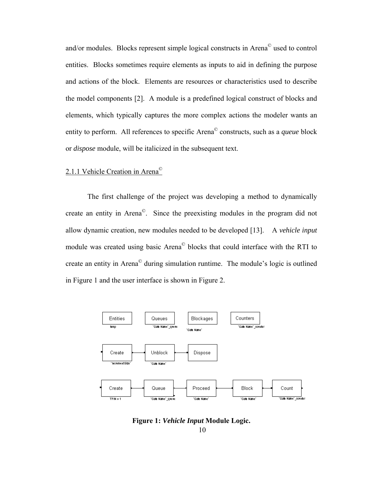<span id="page-20-0"></span>and/or modules. Blocks represent simple logical constructs in Arena© used to control entities. Blocks sometimes require elements as inputs to aid in defining the purpose and actions of the block. Elements are resources or characteristics used to describe the model components [2]. A module is a predefined logical construct of blocks and elements, which typically captures the more complex actions the modeler wants an entity to perform. All references to specific Arena© constructs, such as a *queue* block or *dispose* module, will be italicized in the subsequent text.

## <span id="page-20-1"></span>2.1.1 Vehicle Creation in Arena©

The first challenge of the project was developing a method to dynamically create an entity in Arena©. Since the preexisting modules in the program did not allow dynamic creation, new modules needed to be developed [13]. A *vehicle input*  module was created using basic Arena© blocks that could interface with the RTI to create an entity in Arena© during simulation runtime. The module's logic is outlined in [Figure 1](#page-20-2) and the user interface is shown in [Figure 2.](#page-21-1)



<span id="page-20-2"></span>**Figure 1:** *Vehicle Input* **Module Logic.**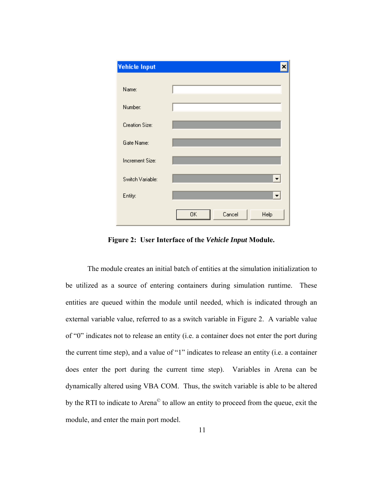<span id="page-21-0"></span>

**Figure 2: User Interface of the** *Vehicle Input* **Module.** 

<span id="page-21-1"></span>The module creates an initial batch of entities at the simulation initialization to be utilized as a source of entering containers during simulation runtime. These entities are queued within the module until needed, which is indicated through an external variable value, referred to as a switch variable in [Figure 2.](#page-21-1) A variable value of "0" indicates not to release an entity (i.e. a container does not enter the port during the current time step), and a value of "1" indicates to release an entity (i.e. a container does enter the port during the current time step). Variables in Arena can be dynamically altered using VBA COM. Thus, the switch variable is able to be altered by the RTI to indicate to Arena<sup>©</sup> to allow an entity to proceed from the queue, exit the module, and enter the main port model.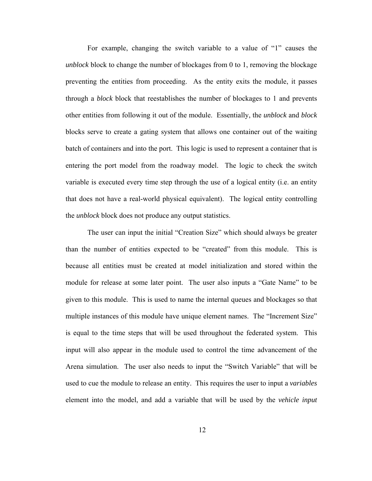For example, changing the switch variable to a value of "1" causes the *unblock* block to change the number of blockages from 0 to 1, removing the blockage preventing the entities from proceeding. As the entity exits the module, it passes through a *block* block that reestablishes the number of blockages to 1 and prevents other entities from following it out of the module. Essentially, the *unblock* and *block* blocks serve to create a gating system that allows one container out of the waiting batch of containers and into the port. This logic is used to represent a container that is entering the port model from the roadway model. The logic to check the switch variable is executed every time step through the use of a logical entity (i.e. an entity that does not have a real-world physical equivalent). The logical entity controlling the *unblock* block does not produce any output statistics.

The user can input the initial "Creation Size" which should always be greater than the number of entities expected to be "created" from this module. This is because all entities must be created at model initialization and stored within the module for release at some later point. The user also inputs a "Gate Name" to be given to this module. This is used to name the internal queues and blockages so that multiple instances of this module have unique element names. The "Increment Size" is equal to the time steps that will be used throughout the federated system. This input will also appear in the module used to control the time advancement of the Arena simulation. The user also needs to input the "Switch Variable" that will be used to cue the module to release an entity. This requires the user to input a *variables* element into the model, and add a variable that will be used by the *vehicle input*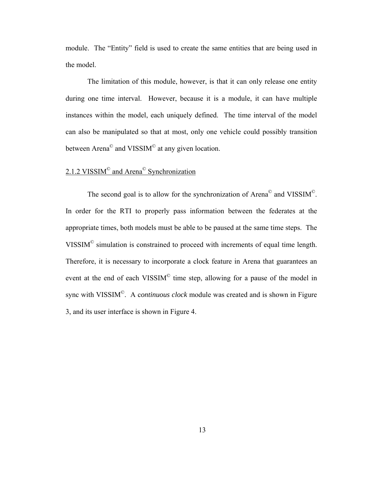<span id="page-23-0"></span>module. The "Entity" field is used to create the same entities that are being used in the model.

The limitation of this module, however, is that it can only release one entity during one time interval. However, because it is a module, it can have multiple instances within the model, each uniquely defined. The time interval of the model can also be manipulated so that at most, only one vehicle could possibly transition between Arena<sup>©</sup> and VISSIM<sup>©</sup> at any given location.

# <span id="page-23-1"></span>2.1.2 VISSIM<sup>©</sup> and Arena<sup>©</sup> Synchronization

The second goal is to allow for the synchronization of Arena<sup>®</sup> and VISSIM<sup>®</sup>. In order for the RTI to properly pass information between the federates at the appropriate times, both models must be able to be paused at the same time steps. The VISSIM© simulation is constrained to proceed with increments of equal time length. Therefore, it is necessary to incorporate a clock feature in Arena that guarantees an event at the end of each VISSIM<sup>®</sup> time step, allowing for a pause of the model in sync with VISSIM©. A c*ontinuous clock* module was created and is shown in [Figure](#page-24-1)  [3](#page-24-1), and its user interface is shown in [Figure 4.](#page-24-2)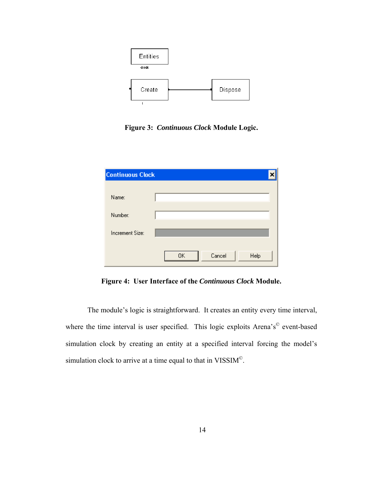<span id="page-24-0"></span>

**Figure 3:** *Continuous Clock* **Module Logic.** 

<span id="page-24-1"></span>

| <b>Continuous Clock</b> |                      |  |
|-------------------------|----------------------|--|
| Name:                   |                      |  |
| Number:                 |                      |  |
| Increment Size:         |                      |  |
|                         | 0K<br>Cancel<br>Help |  |

**Figure 4: User Interface of the** *Continuous Clock* **Module.** 

<span id="page-24-2"></span>The module's logic is straightforward. It creates an entity every time interval, where the time interval is user specified. This logic exploits Arena's<sup>©</sup> event-based simulation clock by creating an entity at a specified interval forcing the model's simulation clock to arrive at a time equal to that in VISSIM<sup>©</sup>.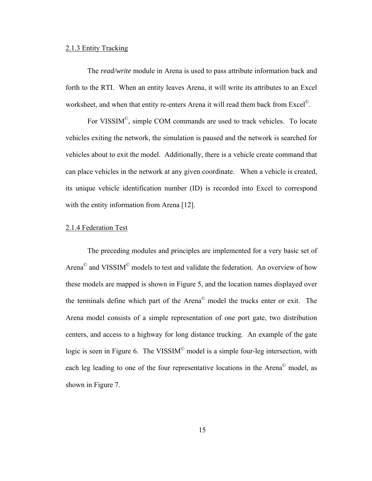#### <span id="page-25-1"></span><span id="page-25-0"></span>2.1.3 Entity Tracking

The *read/write* module in Arena is used to pass attribute information back and forth to the RTI. When an entity leaves Arena, it will write its attributes to an Excel worksheet, and when that entity re-enters Arena it will read them back from Excel<sup>©</sup>.

For VISSIM©, simple COM commands are used to track vehicles. To locate vehicles exiting the network, the simulation is paused and the network is searched for vehicles about to exit the model. Additionally, there is a vehicle create command that can place vehicles in the network at any given coordinate. When a vehicle is created, its unique vehicle identification number (ID) is recorded into Excel to correspond with the entity information from Arena [12].

## <span id="page-25-2"></span>2.1.4 Federation Test

The preceding modules and principles are implemented for a very basic set of Arena© and VISSIM© models to test and validate the federation. An overview of how these models are mapped is shown in [Figure 5](#page-26-1), and the location names displayed over the terminals define which part of the Arena© model the trucks enter or exit. The Arena model consists of a simple representation of one port gate, two distribution centers, and access to a highway for long distance trucking. An example of the gate logic is seen in [Figure 6](#page-27-1). The VISSIM<sup>©</sup> model is a simple four-leg intersection, with each leg leading to one of the four representative locations in the Arena© model, as shown in [Figure 7](#page-28-1).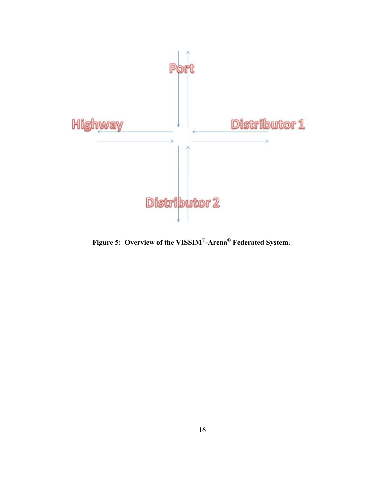<span id="page-26-0"></span>

<span id="page-26-1"></span>**Figure 5: Overview of the VISSIM©-Arena© Federated System.**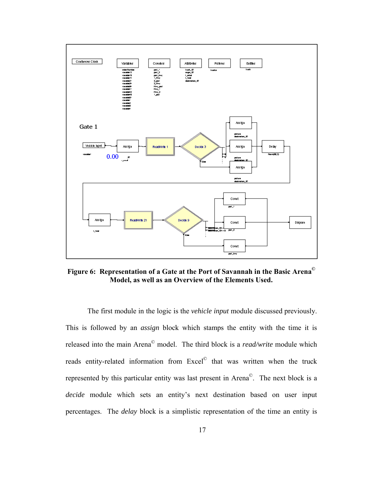<span id="page-27-0"></span>

<span id="page-27-1"></span>**Figure 6: Representation of a Gate at the Port of Savannah in the Basic Arena© Model, as well as an Overview of the Elements Used.** 

The first module in the logic is the *vehicle input* module discussed previously. This is followed by an *assign* block which stamps the entity with the time it is released into the main Arena© model. The third block is a *read/write* module which reads entity-related information from Excel<sup>©</sup> that was written when the truck represented by this particular entity was last present in Arena©. The next block is a *decide* module which sets an entity's next destination based on user input percentages. The *delay* block is a simplistic representation of the time an entity is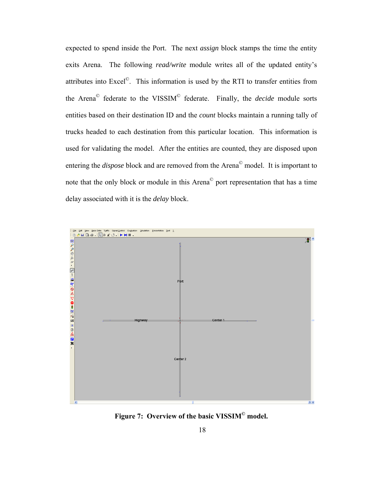<span id="page-28-0"></span>expected to spend inside the Port. The next *assign* block stamps the time the entity exits Arena. The following *read/write* module writes all of the updated entity's attributes into Excel©. This information is used by the RTI to transfer entities from the Arena© federate to the VISSIM© federate. Finally, the *decide* module sorts entities based on their destination ID and the *count* blocks maintain a running tally of trucks headed to each destination from this particular location. This information is used for validating the model. After the entities are counted, they are disposed upon entering the *dispose* block and are removed from the Arena© model. It is important to note that the only block or module in this Arena© port representation that has a time delay associated with it is the *delay* block.



<span id="page-28-1"></span>**Figure 7: Overview of the basic VISSIM© model.**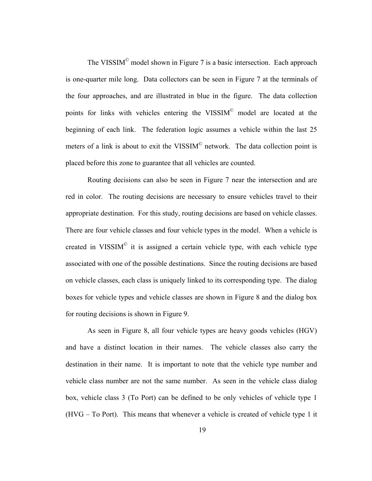The VISSIM<sup>©</sup> model shown in [Figure 7](#page-28-1) is a basic intersection. Each approach is one-quarter mile long. Data collectors can be seen in [Figure 7](#page-28-1) at the terminals of the four approaches, and are illustrated in blue in the figure. The data collection points for links with vehicles entering the VISSIM<sup>®</sup> model are located at the beginning of each link. The federation logic assumes a vehicle within the last 25 meters of a link is about to exit the VISSIM<sup>®</sup> network. The data collection point is placed before this zone to guarantee that all vehicles are counted.

Routing decisions can also be seen in [Figure 7](#page-28-1) near the intersection and are red in color. The routing decisions are necessary to ensure vehicles travel to their appropriate destination. For this study, routing decisions are based on vehicle classes. There are four vehicle classes and four vehicle types in the model. When a vehicle is created in VISSIM<sup> $\circ$ </sup> it is assigned a certain vehicle type, with each vehicle type associated with one of the possible destinations. Since the routing decisions are based on vehicle classes, each class is uniquely linked to its corresponding type. The dialog boxes for vehicle types and vehicle classes are shown in [Figure 8](#page-30-1) and the dialog box for routing decisions is shown in [Figure 9](#page-31-1).

As seen in [Figure 8,](#page-30-1) all four vehicle types are heavy goods vehicles (HGV) and have a distinct location in their names. The vehicle classes also carry the destination in their name. It is important to note that the vehicle type number and vehicle class number are not the same number. As seen in the vehicle class dialog box, vehicle class 3 (To Port) can be defined to be only vehicles of vehicle type 1 (HVG – To Port). This means that whenever a vehicle is created of vehicle type 1 it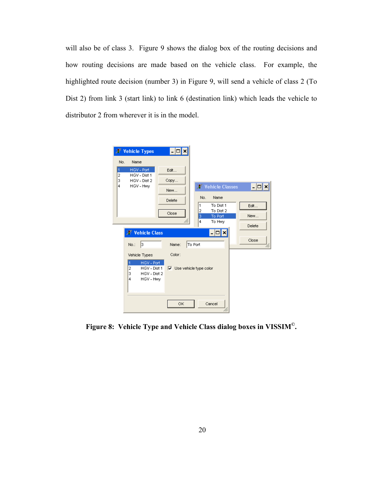<span id="page-30-0"></span>will also be of class 3. [Figure 9](#page-31-1) shows the dialog box of the routing decisions and how routing decisions are made based on the vehicle class. For example, the highlighted route decision (number 3) in [Figure 9](#page-31-1), will send a vehicle of class 2 (To Dist 2) from link 3 (start link) to link 6 (destination link) which leads the vehicle to distributor 2 from wherever it is in the model.



<span id="page-30-1"></span>**Figure 8: Vehicle Type and Vehicle Class dialog boxes in VISSIM©.**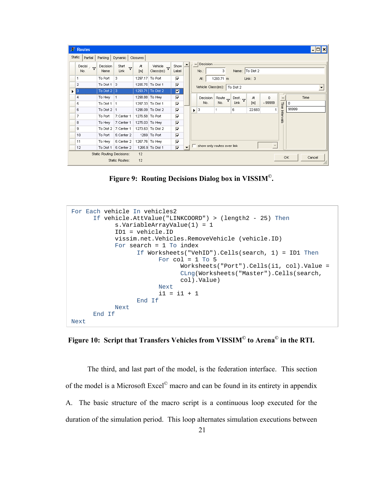<span id="page-31-0"></span>

|        | <b>F</b> Routes                                                               |                    |                                          |                        |                                         |                         |                          |     |                                   |                    |                 |         |                     |           |       |      |                          |
|--------|-------------------------------------------------------------------------------|--------------------|------------------------------------------|------------------------|-----------------------------------------|-------------------------|--------------------------|-----|-----------------------------------|--------------------|-----------------|---------|---------------------|-----------|-------|------|--------------------------|
| Static | Partial                                                                       | Parking            | Dynamic                                  | Closures               |                                         |                         |                          |     |                                   |                    |                 |         |                     |           |       |      |                          |
|        | Decisi $\sqrt{r}$<br>No.                                                      | Decision<br>Name   | Start<br>$\overline{\mathbf{Y}}$<br>Link | At<br>[ <sub>m</sub> ] | Vehicle<br>$\triangledown$<br>Class(es) | Show  <br>Label         |                          | $-$ | Decision<br>No.:                  | 3                  | Name: To Dist 2 |         |                     |           |       |      |                          |
|        |                                                                               | To Port            | 3                                        | 1297.17 To Port        |                                         | $\overline{\mathbf{v}}$ |                          |     | At:                               | 1293.71 m          |                 | Link: 3 |                     |           |       |      |                          |
|        | $\overline{2}$                                                                | To Dist $1 \mid 3$ |                                          |                        | 1295.75 To Dist 1                       | $\overline{\mathbf{v}}$ |                          |     | Vehicle Class(es):   To Dist 2    |                    |                 |         |                     |           |       |      | $\overline{\phantom{a}}$ |
| ▶      | 13                                                                            | To Dist $2 \mid 3$ |                                          |                        | 1293.71 To Dist 2                       | $\blacksquare$          |                          |     |                                   |                    |                 |         |                     |           |       |      |                          |
|        | 4                                                                             | To Hwy             | $\vert$ 1                                |                        | 1298.88 To Hwy                          | $\overline{v}$          |                          |     | Decision                          | Route <sub>V</sub> | Dest. V         | At      | 0                   | -         |       | Time |                          |
|        | 5                                                                             | To Dist 1   1      |                                          |                        | 1297.33 To Dist 1                       | $\overline{\mathbf{v}}$ |                          |     | No.                               | No.                | Link            | [m]     | $-999999$           | Time      | 0     |      |                          |
|        | 6                                                                             | To Dist 2 1        |                                          |                        | 1296.09 To Dist 2                       | $\overline{\mathbf{v}}$ |                          | ٠   | 3                                 |                    | 6               | 22.683  | 1                   |           | 99999 |      |                          |
|        | 7                                                                             | To Port            | 7:Center 1                               |                        | 1276.58 To Port                         | $\overline{\mathbf{v}}$ |                          |     |                                   |                    |                 |         |                     | Intervals |       |      |                          |
|        | 8                                                                             | To Hwy             | 7:Center 1                               |                        | 1276.03 To Hwy                          | $\overline{V}$          |                          |     |                                   |                    |                 |         |                     |           |       |      |                          |
|        | 9                                                                             | To Dist 2          | 7:Center 1                               |                        | 1273.63 To Dist 2                       | $\overline{\mathbf{v}}$ |                          |     |                                   |                    |                 |         |                     |           |       |      |                          |
|        | 10                                                                            | To Port            | 5:Center 2                               |                        | 1269 To Port                            | $\overline{\mathbf{v}}$ |                          |     |                                   |                    |                 |         |                     |           |       |      |                          |
|        | 11                                                                            | To Hwy             | 5:Center 2                               |                        | 1267.76 To Hwy                          | $\overline{\mathbf{v}}$ |                          |     |                                   |                    |                 |         |                     |           |       |      |                          |
|        | 12                                                                            | To Dist 1          | 5:Center 2                               |                        | 1265.9 To Dist 1                        | $\overline{\mathbf{v}}$ | $\overline{\phantom{0}}$ |     | $\Box$ show only routes over link |                    |                 |         | $\overline{\nabla}$ |           |       |      |                          |
|        | Static Routing Decisions:<br>12<br>OK.<br>Cancel<br>Static Routes:<br>12<br>M |                    |                                          |                        |                                         |                         |                          |     |                                   |                    |                 |         |                     |           |       |      |                          |

**Figure 9: Routing Decisions Dialog box in VISSIM©.** 

```
For Each vehicle In vehicles2 
      If vehicle.AttValue("LINKCOORD") > (length2 - 25) Then
            s.VariableArrayValue(1) = 1 
            ID1 = vehicle.ID 
            vissim.net.Vehicles.RemoveVehicle (vehicle.ID) 
            For search = 1 To index 
                  If Worksheets("VehID").Cells(search, 1) = ID1 Then
                         For col = 1 To 5Worksheets("Port").Cells(i1, col).Value = 
                               CLng(Worksheets("Master").Cells(search, 
                               col).Value) 
                         Next 
                         i1 = i1 + 1End If 
            Next 
      End If 
Next
```
<span id="page-31-2"></span>**Figure 10: Script that Transfers Vehicles from VISSIM© to Arena© in the RTI.** 

 The third, and last part of the model, is the federation interface. This section of the model is a Microsoft Excel© macro and can be found in its entirety in appendix A. The basic structure of the macro script is a continuous loop executed for the duration of the simulation period. This loop alternates simulation executions between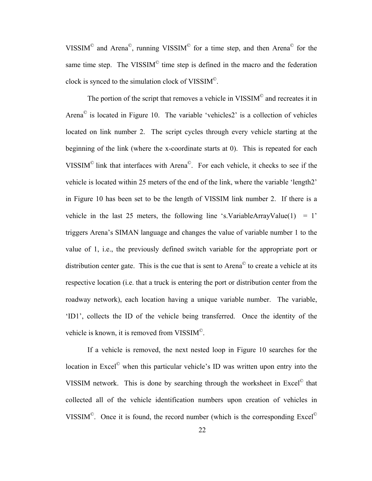VISSIM<sup>©</sup> and Arena<sup>©</sup>, running VISSIM<sup>©</sup> for a time step, and then Arena<sup>©</sup> for the same time step. The VISSIM $^{\circ}$  time step is defined in the macro and the federation clock is synced to the simulation clock of VISSIM©.

The portion of the script that removes a vehicle in VISSIM<sup>©</sup> and recreates it in Arena $\degree$  is located in [Figure 10](#page-31-2). The variable 'vehicles 2' is a collection of vehicles located on link number 2. The script cycles through every vehicle starting at the beginning of the link (where the x-coordinate starts at 0). This is repeated for each VISSIM© link that interfaces with Arena©. For each vehicle, it checks to see if the vehicle is located within 25 meters of the end of the link, where the variable 'length2' in [Figure 10](#page-31-2) has been set to be the length of VISSIM link number 2. If there is a vehicle in the last 25 meters, the following line 's.VariableArrayValue(1) = 1' triggers Arena's SIMAN language and changes the value of variable number 1 to the value of 1, i.e., the previously defined switch variable for the appropriate port or distribution center gate. This is the cue that is sent to Arena© to create a vehicle at its respective location (i.e. that a truck is entering the port or distribution center from the roadway network), each location having a unique variable number. The variable, 'ID1', collects the ID of the vehicle being transferred. Once the identity of the vehicle is known, it is removed from VISSIM©.

 If a vehicle is removed, the next nested loop in [Figure 10](#page-31-2) searches for the location in Excel<sup>®</sup> when this particular vehicle's ID was written upon entry into the VISSIM network. This is done by searching through the worksheet in Excel© that collected all of the vehicle identification numbers upon creation of vehicles in VISSIM<sup>©</sup>. Once it is found, the record number (which is the corresponding Excel<sup> $\odot$ </sup>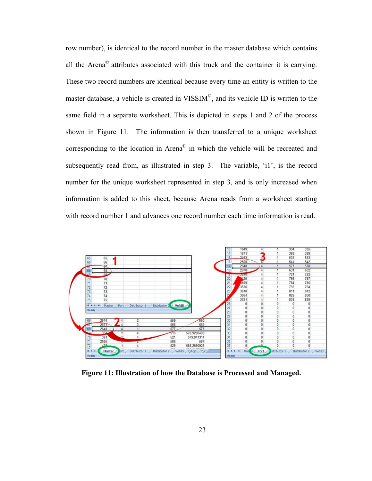<span id="page-33-0"></span>row number), is identical to the record number in the master database which contains all the Arena© attributes associated with this truck and the container it is carrying. These two record numbers are identical because every time an entity is written to the master database, a vehicle is created in VISSIM©, and its vehicle ID is written to the same field in a separate worksheet. This is depicted in steps 1 and 2 of the process shown in [Figure 11](#page-33-1). The information is then transferred to a unique worksheet corresponding to the location in Arena© in which the vehicle will be recreated and subsequently read from, as illustrated in step 3. The variable, 'i1', is the record number for the unique worksheet represented in step 3, and is only increased when information is added to this sheet, because Arena reads from a worksheet starting with record number 1 and advances one record number each time information is read.



<span id="page-33-1"></span>**Figure 11: Illustration of how the Database is Processed and Managed.**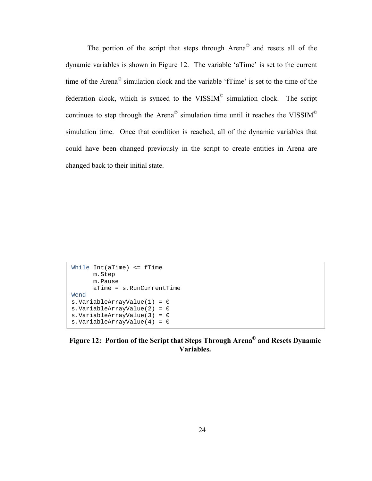The portion of the script that steps through Arena© and resets all of the dynamic variables is shown in Figure 12. The variable 'aTime' is set to the current time of the Arena© simulation clock and the variable 'fTime' is set to the time of the federation clock, which is synced to the VISSIM<sup>®</sup> simulation clock. The script continues to step through the Arena© simulation time until it reaches the VISSIM© simulation time. Once that condition is reached, all of the dynamic variables that could have been changed previously in the script to create entities in Arena are changed back to their initial state.

```
While Int(aTime) <= fTime 
      m.Step 
      m.Pause 
      aTime = s.RunCurrentTime 
Wend 
s.VariableArrayValue(1) = 0 
s.VariableArrayValue(2) = 0 
s.VariableArrayValue(3) = 0 
s.VariableArrayValue(4) = 0
```
**Figure 12: Portion of the Script that Steps Through Arena© and Resets Dynamic Variables.**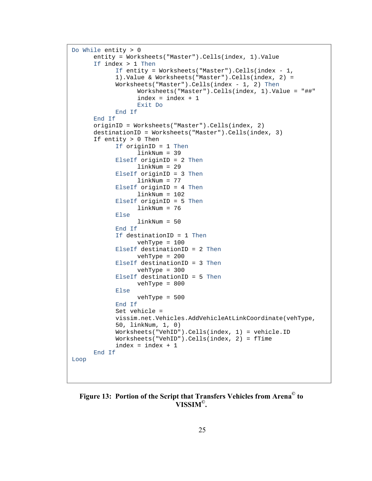```
Do While entity > 0 
      entity = Worksheets("Master").Cells(index, 1).Value 
      If index > 1 Then
            If entity = Worksheets("Master").Cells(index - 1, 
            1).Value & Worksheets("Master").Cells(index, 2) = 
            Worksheets("Master").Cells(index - 1, 2) Then
                    Worksheets("Master").Cells(index, 1).Value = "##" 
                    index = index + 1 
                    Exit Do 
            End If 
      End If 
      originID = Worksheets("Master").Cells(index, 2) 
      destinationID = Worksheets("Master").Cells(index, 3) 
      If entity > 0 Then 
            If originID = 1 Then
                    linkNum = 39 
              ElseIf originID = 2 Then
                    linkNum = 29 
             ElseIf originID = 3 Then
                    linkNum = 77 
              ElseIf originID = 4 Then
                   linkNum = 102 ElseIf originID = 5 Then
                    linkNum = 76 
             Else 
                    linkNum = 50 
             End If 
             If destinationID = 1 Then
                    vehType = 100 
             ElseIf destinationID = 2 Then
                    vehType = 200 
             ElseIf destinationID = 3 Then
                    vehType = 300 
              ElseIf destinationID = 5 Then
                    vehType = 800 
             Else 
                    vehType = 500 
             End If 
            Set vehicle = 
            vissim.net.Vehicles.AddVehicleAtLinkCoordinate(vehType, 
            50, linkNum, 1, 0) 
             Worksheets("VehID").Cells(index, 1) = vehicle.ID 
             Worksheets("VehID").Cells(index, 2) = fTime 
             index = index + 1End If 
Loop
```
<span id="page-35-1"></span>**Figure 13: Portion of the Script that Transfers Vehicles from Arena© to VISSIM©.**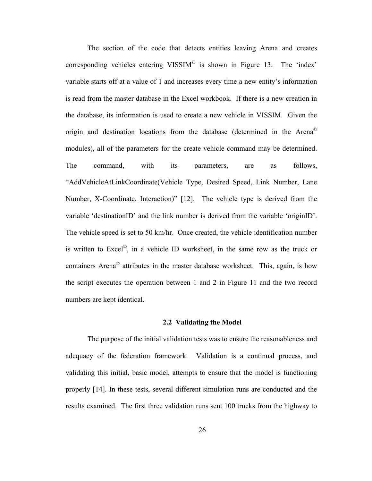The section of the code that detects entities leaving Arena and creates corresponding vehicles entering VISSIM© is shown in [Figure 13](#page-35-0). The 'index' variable starts off at a value of 1 and increases every time a new entity's information is read from the master database in the Excel workbook. If there is a new creation in the database, its information is used to create a new vehicle in VISSIM. Given the origin and destination locations from the database (determined in the Arena© modules), all of the parameters for the create vehicle command may be determined. The command, with its parameters, are as follows, "AddVehicleAtLinkCoordinate(Vehicle Type, Desired Speed, Link Number, Lane Number, X-Coordinate, Interaction)" [12]. The vehicle type is derived from the variable 'destinationID' and the link number is derived from the variable 'originID'. The vehicle speed is set to 50 km/hr. Once created, the vehicle identification number is written to Excel©, in a vehicle ID worksheet, in the same row as the truck or containers Arena© attributes in the master database worksheet. This, again, is how the script executes the operation between 1 and 2 in [Figure 11](#page-33-0) and the two record numbers are kept identical.

#### **2.2 Validating the Model**

The purpose of the initial validation tests was to ensure the reasonableness and adequacy of the federation framework. Validation is a continual process, and validating this initial, basic model, attempts to ensure that the model is functioning properly [14]. In these tests, several different simulation runs are conducted and the results examined. The first three validation runs sent 100 trucks from the highway to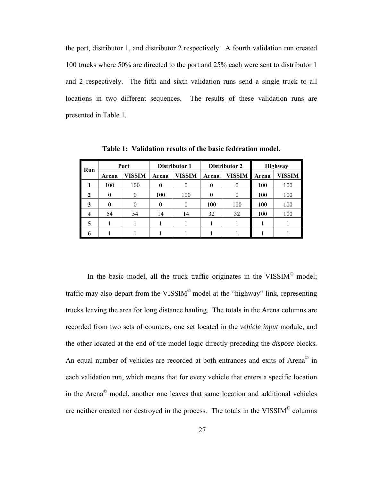the port, distributor 1, and distributor 2 respectively. A fourth validation run created 100 trucks where 50% are directed to the port and 25% each were sent to distributor 1 and 2 respectively. The fifth and sixth validation runs send a single truck to all locations in two different sequences. The results of these validation runs are presented in [Table 1.](#page-37-0)

<span id="page-37-0"></span>

| Run |       | Port   |       | Distributor 1 |       | Distributor 2 |       | <b>Highway</b> |  |
|-----|-------|--------|-------|---------------|-------|---------------|-------|----------------|--|
|     | Arena | VISSIM | Arena | VISSIM        | Arena | <b>VISSIM</b> | Arena | VISSIM         |  |
|     | 100   | 100    |       | 0             | 0     |               | 100   | 100            |  |
| 2   |       | 0      | 100   | 100           |       |               | 100   | 100            |  |
|     |       |        |       | 0             | 100   | 100           | 100   | 100            |  |
|     | 54    | 54     | 14    | 14            | 32    | 32            | 100   | 100            |  |
| 5   |       |        |       |               |       |               |       |                |  |
|     |       |        |       |               |       |               |       |                |  |

**Table 1: Validation results of the basic federation model.** 

In the basic model, all the truck traffic originates in the VISSIM<sup>®</sup> model; traffic may also depart from the VISSIM<sup> $\degree$ </sup> model at the "highway" link, representing trucks leaving the area for long distance hauling. The totals in the Arena columns are recorded from two sets of counters, one set located in the *vehicle input* module, and the other located at the end of the model logic directly preceding the *dispose* blocks. An equal number of vehicles are recorded at both entrances and exits of Arena<sup>©</sup> in each validation run, which means that for every vehicle that enters a specific location in the Arena© model, another one leaves that same location and additional vehicles are neither created nor destroyed in the process. The totals in the VISSIM© columns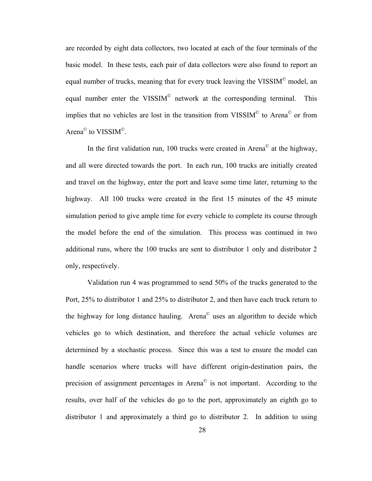are recorded by eight data collectors, two located at each of the four terminals of the basic model. In these tests, each pair of data collectors were also found to report an equal number of trucks, meaning that for every truck leaving the VISSIM© model, an equal number enter the VISSIM<sup>®</sup> network at the corresponding terminal. This implies that no vehicles are lost in the transition from VISSIM $^{\circ}$  to Arena $^{\circ}$  or from Arena<sup>©</sup> to VISSIM<sup>©</sup>.

In the first validation run, 100 trucks were created in Arena<sup> $\degree$ </sup> at the highway, and all were directed towards the port. In each run, 100 trucks are initially created and travel on the highway, enter the port and leave some time later, returning to the highway. All 100 trucks were created in the first 15 minutes of the 45 minute simulation period to give ample time for every vehicle to complete its course through the model before the end of the simulation. This process was continued in two additional runs, where the 100 trucks are sent to distributor 1 only and distributor 2 only, respectively.

 Validation run 4 was programmed to send 50% of the trucks generated to the Port, 25% to distributor 1 and 25% to distributor 2, and then have each truck return to the highway for long distance hauling. Arena© uses an algorithm to decide which vehicles go to which destination, and therefore the actual vehicle volumes are determined by a stochastic process. Since this was a test to ensure the model can handle scenarios where trucks will have different origin-destination pairs, the precision of assignment percentages in Arena© is not important. According to the results, over half of the vehicles do go to the port, approximately an eighth go to distributor 1 and approximately a third go to distributor 2. In addition to using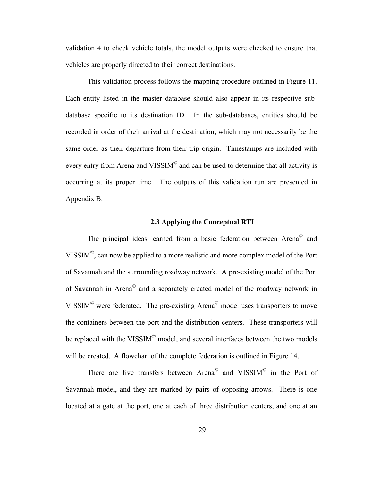validation 4 to check vehicle totals, the model outputs were checked to ensure that vehicles are properly directed to their correct destinations.

 This validation process follows the mapping procedure outlined in [Figure 11](#page-33-0). Each entity listed in the master database should also appear in its respective subdatabase specific to its destination ID. In the sub-databases, entities should be recorded in order of their arrival at the destination, which may not necessarily be the same order as their departure from their trip origin. Timestamps are included with every entry from Arena and VISSIM<sup>®</sup> and can be used to determine that all activity is occurring at its proper time. The outputs of this validation run are presented in Appendix B.

# **2.3 Applying the Conceptual RTI**

The principal ideas learned from a basic federation between Arena<sup>®</sup> and VISSIM©, can now be applied to a more realistic and more complex model of the Port of Savannah and the surrounding roadway network. A pre-existing model of the Port of Savannah in Arena© and a separately created model of the roadway network in VISSIM© were federated. The pre-existing Arena© model uses transporters to move the containers between the port and the distribution centers. These transporters will be replaced with the VISSIM<sup>©</sup> model, and several interfaces between the two models will be created. A flowchart of the complete federation is outlined in Figure 14.

There are five transfers between Arena<sup>©</sup> and VISSIM<sup>©</sup> in the Port of Savannah model, and they are marked by pairs of opposing arrows. There is one located at a gate at the port, one at each of three distribution centers, and one at an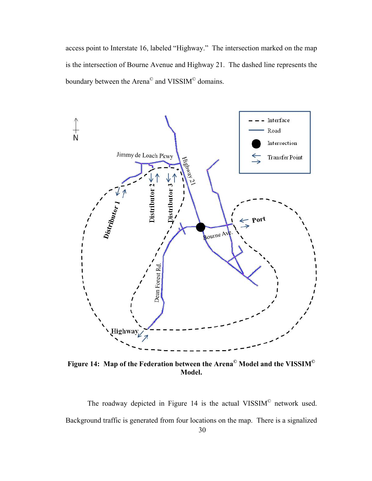access point to Interstate 16, labeled "Highway." The intersection marked on the map is the intersection of Bourne Avenue and Highway 21. The dashed line represents the boundary between the Arena© and VISSIM© domains.



**Figure 14: Map of the Federation between the Arena© Model and the VISSIM© Model.** 

The roadway depicted in Figure 14 is the actual VISSIM<sup>®</sup> network used. Background traffic is generated from four locations on the map. There is a signalized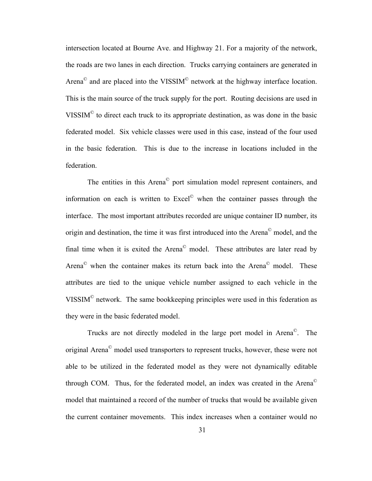intersection located at Bourne Ave. and Highway 21. For a majority of the network, the roads are two lanes in each direction. Trucks carrying containers are generated in Arena<sup>©</sup> and are placed into the VISSIM<sup>©</sup> network at the highway interface location. This is the main source of the truck supply for the port. Routing decisions are used in VISSIM© to direct each truck to its appropriate destination, as was done in the basic federated model. Six vehicle classes were used in this case, instead of the four used in the basic federation. This is due to the increase in locations included in the federation.

 The entities in this Arena© port simulation model represent containers, and information on each is written to Excel© when the container passes through the interface. The most important attributes recorded are unique container ID number, its origin and destination, the time it was first introduced into the Arena© model, and the final time when it is exited the Arena<sup> $\degree$ </sup> model. These attributes are later read by Arena<sup>©</sup> when the container makes its return back into the Arena<sup>©</sup> model. These attributes are tied to the unique vehicle number assigned to each vehicle in the VISSIM© network. The same bookkeeping principles were used in this federation as they were in the basic federated model.

 Trucks are not directly modeled in the large port model in Arena©. The original Arena© model used transporters to represent trucks, however, these were not able to be utilized in the federated model as they were not dynamically editable through COM. Thus, for the federated model, an index was created in the Arena© model that maintained a record of the number of trucks that would be available given the current container movements. This index increases when a container would no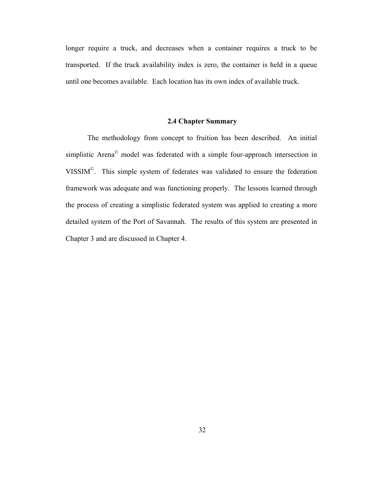longer require a truck, and decreases when a container requires a truck to be transported. If the truck availability index is zero, the container is held in a queue until one becomes available. Each location has its own index of available truck.

# **2.4 Chapter Summary**

 The methodology from concept to fruition has been described. An initial simplistic Arena© model was federated with a simple four-approach intersection in VISSIM©. This simple system of federates was validated to ensure the federation framework was adequate and was functioning properly. The lessons learned through the process of creating a simplistic federated system was applied to creating a more detailed system of the Port of Savannah. The results of this system are presented in Chapter 3 and are discussed in Chapter 4.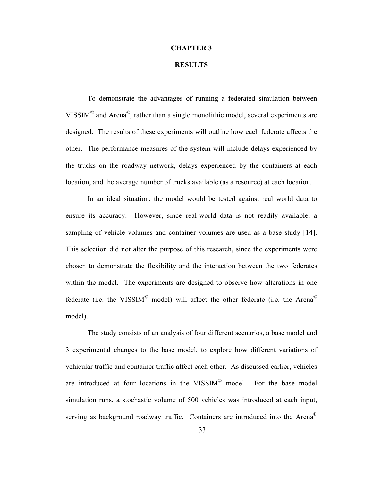### **CHAPTER 3**

# **RESULTS**

To demonstrate the advantages of running a federated simulation between VISSIM© and Arena©, rather than a single monolithic model, several experiments are designed. The results of these experiments will outline how each federate affects the other. The performance measures of the system will include delays experienced by the trucks on the roadway network, delays experienced by the containers at each location, and the average number of trucks available (as a resource) at each location.

 In an ideal situation, the model would be tested against real world data to ensure its accuracy. However, since real-world data is not readily available, a sampling of vehicle volumes and container volumes are used as a base study [14]. This selection did not alter the purpose of this research, since the experiments were chosen to demonstrate the flexibility and the interaction between the two federates within the model. The experiments are designed to observe how alterations in one federate (i.e. the VISSIM<sup>®</sup> model) will affect the other federate (i.e. the Arena<sup>®</sup> model).

The study consists of an analysis of four different scenarios, a base model and 3 experimental changes to the base model, to explore how different variations of vehicular traffic and container traffic affect each other. As discussed earlier, vehicles are introduced at four locations in the VISSIM<sup>®</sup> model. For the base model simulation runs, a stochastic volume of 500 vehicles was introduced at each input, serving as background roadway traffic. Containers are introduced into the Arena<sup>©</sup>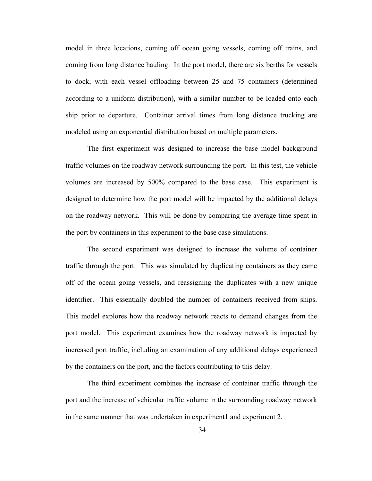model in three locations, coming off ocean going vessels, coming off trains, and coming from long distance hauling. In the port model, there are six berths for vessels to dock, with each vessel offloading between 25 and 75 containers (determined according to a uniform distribution), with a similar number to be loaded onto each ship prior to departure. Container arrival times from long distance trucking are modeled using an exponential distribution based on multiple parameters.

 The first experiment was designed to increase the base model background traffic volumes on the roadway network surrounding the port. In this test, the vehicle volumes are increased by 500% compared to the base case. This experiment is designed to determine how the port model will be impacted by the additional delays on the roadway network. This will be done by comparing the average time spent in the port by containers in this experiment to the base case simulations.

The second experiment was designed to increase the volume of container traffic through the port. This was simulated by duplicating containers as they came off of the ocean going vessels, and reassigning the duplicates with a new unique identifier. This essentially doubled the number of containers received from ships. This model explores how the roadway network reacts to demand changes from the port model. This experiment examines how the roadway network is impacted by increased port traffic, including an examination of any additional delays experienced by the containers on the port, and the factors contributing to this delay.

 The third experiment combines the increase of container traffic through the port and the increase of vehicular traffic volume in the surrounding roadway network in the same manner that was undertaken in experiment1 and experiment 2.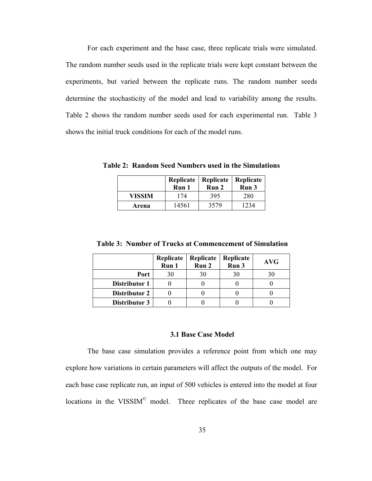For each experiment and the base case, three replicate trials were simulated. The random number seeds used in the replicate trials were kept constant between the experiments, but varied between the replicate runs. The random number seeds determine the stochasticity of the model and lead to variability among the results. [Table 2](#page-45-0) shows the random number seeds used for each experimental run. [Table 3](#page-45-1)  shows the initial truck conditions for each of the model runs.

<span id="page-45-0"></span>**Table 2: Random Seed Numbers used in the Simulations** 

|        | Run 1 | Replicate   Replicate   Replicate<br>Run 2 | Run 3 |  |
|--------|-------|--------------------------------------------|-------|--|
| VISSIM | 174   | 395                                        | 280   |  |
| Arena  | 14561 | 3579                                       | 1234  |  |

<span id="page-45-1"></span>

|               | Replicate<br>Run 1 | Replicate<br>Run 2 | Replicate<br>Run 3 | <b>AVG</b> |
|---------------|--------------------|--------------------|--------------------|------------|
| Port          | 30                 | 30                 | 30                 | 30         |
| Distributor 1 |                    |                    |                    |            |
| Distributor 2 |                    |                    |                    |            |
| Distributor 3 |                    |                    |                    |            |

 **Table 3: Number of Trucks at Commencement of Simulation** 

## **3.1 Base Case Model**

The base case simulation provides a reference point from which one may explore how variations in certain parameters will affect the outputs of the model. For each base case replicate run, an input of 500 vehicles is entered into the model at four locations in the VISSIM<sup>®</sup> model. Three replicates of the base case model are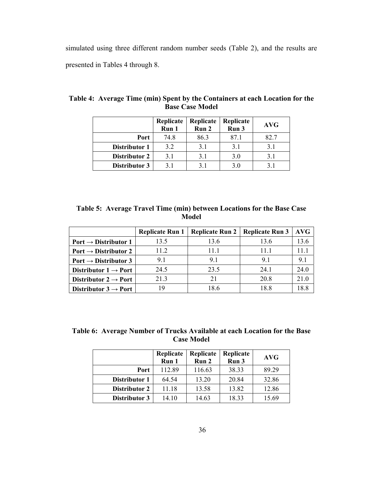simulated using three different random number seeds [\(Table 2\)](#page-45-0), and the results are presented in Tables 4 through 8.

|               | Replicate<br>Run 1 | Replicate<br>Run 2 | Replicate<br>Run 3 | <b>AVG</b> |
|---------------|--------------------|--------------------|--------------------|------------|
| Port          | 74.8               | 86.3               | 87.1               | 82.7       |
| Distributor 1 | 3.2                | 3.1                | 3.1                | 3.1        |
| Distributor 2 | 3.1                | 3.1                | 3.0                | 3.1        |
| Distributor 3 | 3.1                | 3.1                | 3.0                |            |

<span id="page-46-0"></span>**Table 4: Average Time (min) Spent by the Containers at each Location for the Base Case Model** 

|  |  |       |  | Table 5: Average Travel Time (min) between Locations for the Base Case |
|--|--|-------|--|------------------------------------------------------------------------|
|  |  | Model |  |                                                                        |

<span id="page-46-1"></span>

|                                  | <b>Replicate Run 1</b> | <b>Replicate Run 2</b> | <b>Replicate Run 3</b> | AVG  |
|----------------------------------|------------------------|------------------------|------------------------|------|
| Port $\rightarrow$ Distributor 1 | 13.5                   | 13.6                   | 13.6                   | 13.6 |
| Port $\rightarrow$ Distributor 2 | 11.2                   | 11.1                   | 11.1                   | 11 1 |
| Port $\rightarrow$ Distributor 3 | 91                     | 91                     | 91                     | 91   |
| Distributor $1 \rightarrow$ Port | 24.5                   | 23.5                   | 24.1                   | 24.0 |
| Distributor $2 \rightarrow$ Port | 21.3                   | 21                     | 20.8                   | 21.0 |
| Distributor $3 \rightarrow$ Port | 19                     | 18 6                   | 188                    |      |

<span id="page-46-2"></span>**Table 6: Average Number of Trucks Available at each Location for the Base Case Model** 

|               | Replicate<br>Run 1 | Replicate<br>Run 2 | Replicate<br>Run 3 | <b>AVG</b> |
|---------------|--------------------|--------------------|--------------------|------------|
| Port          | 112.89             | 116.63             | 38.33              | 89.29      |
| Distributor 1 | 64.54              | 13.20              | 20.84              | 32.86      |
| Distributor 2 | 11.18              | 13.58              | 13.82              | 12.86      |
| Distributor 3 | 14.10              | 14.63              | 18.33              | 15.69      |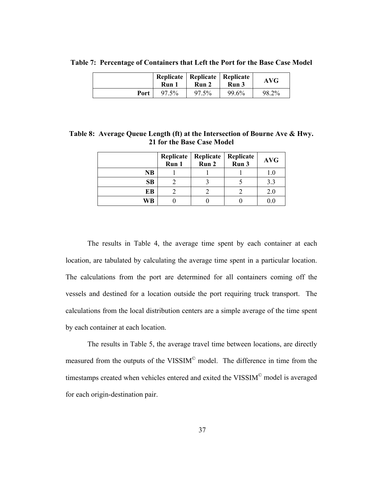|      | Run 1 | Replicate   Replicate   Replicate<br>Run 2 | Run 3 | <b>AVG</b> |
|------|-------|--------------------------------------------|-------|------------|
| Port | 97.5% | 97.5%                                      | 99.6% | 98.2%      |

<span id="page-47-0"></span>**Table 7: Percentage of Containers that Left the Port for the Base Case Model** 

**Table 8: Average Queue Length (ft) at the Intersection of Bourne Ave & Hwy. 21 for the Base Case Model** 

|           | Replicate<br>Run 1 | Replicate<br>Run 2 | Replicate<br>Run 3 | <b>AVG</b> |
|-----------|--------------------|--------------------|--------------------|------------|
| <b>NB</b> |                    |                    |                    |            |
| SB        |                    |                    |                    |            |
| EВ        |                    |                    |                    | 2.0        |
| WВ        |                    |                    |                    |            |

The results in [Table 4,](#page-46-0) the average time spent by each container at each location, are tabulated by calculating the average time spent in a particular location. The calculations from the port are determined for all containers coming off the vessels and destined for a location outside the port requiring truck transport. The calculations from the local distribution centers are a simple average of the time spent by each container at each location.

 The results in [Table 5](#page-46-1), the average travel time between locations, are directly measured from the outputs of the VISSIM© model. The difference in time from the timestamps created when vehicles entered and exited the VISSIM<sup>©</sup> model is averaged for each origin-destination pair.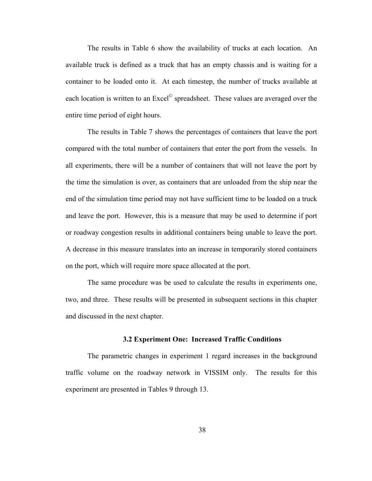The results in [Table 6](#page-46-2) show the availability of trucks at each location. An available truck is defined as a truck that has an empty chassis and is waiting for a container to be loaded onto it. At each timestep, the number of trucks available at each location is written to an Excel<sup>©</sup> spreadsheet. These values are averaged over the entire time period of eight hours.

The results in [Table 7](#page-47-0) shows the percentages of containers that leave the port compared with the total number of containers that enter the port from the vessels. In all experiments, there will be a number of containers that will not leave the port by the time the simulation is over, as containers that are unloaded from the ship near the end of the simulation time period may not have sufficient time to be loaded on a truck and leave the port. However, this is a measure that may be used to determine if port or roadway congestion results in additional containers being unable to leave the port. A decrease in this measure translates into an increase in temporarily stored containers on the port, which will require more space allocated at the port.

The same procedure was be used to calculate the results in experiments one, two, and three. These results will be presented in subsequent sections in this chapter and discussed in the next chapter.

#### **3.2 Experiment One: Increased Traffic Conditions**

The parametric changes in experiment 1 regard increases in the background traffic volume on the roadway network in VISSIM only. The results for this experiment are presented in Tables 9 through 13.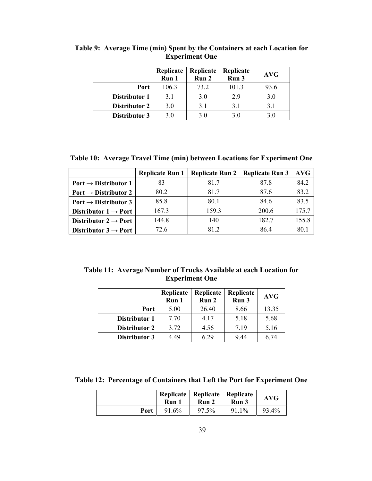|               | Replicate<br>Run 1 | Replicate<br>Run 2 | Replicate<br>Run 3 | <b>AVG</b> |
|---------------|--------------------|--------------------|--------------------|------------|
| Port          | 106.3              | 73.2               | 101.3              | 93.6       |
| Distributor 1 | 3.1                | 3.0                | 2.9                | 3.0        |
| Distributor 2 | 3.0                | 3.1                | 3.1                | 3.1        |
| Distributor 3 | 3.0                | 3.0                | 3.0                | 3 O        |

**Table 9: Average Time (min) Spent by the Containers at each Location for Experiment One** 

**Table 10: Average Travel Time (min) between Locations for Experiment One** 

|                                  | <b>Replicate Run 1</b> | <b>Replicate Run 2</b> | <b>Replicate Run 3</b> | <b>AVG</b> |
|----------------------------------|------------------------|------------------------|------------------------|------------|
| Port $\rightarrow$ Distributor 1 | 83                     | 817                    | 87.8                   | 84.2       |
| Port $\rightarrow$ Distributor 2 | 80.2                   | 817                    | 87.6                   | 83.2       |
| Port $\rightarrow$ Distributor 3 | 85.8                   | 80.1                   | 84.6                   | 83.5       |
| Distributor $1 \rightarrow$ Port | 167.3                  | 159.3                  | 200.6                  | 175.7      |
| Distributor $2 \rightarrow$ Port | 144.8                  | 140                    | 182.7                  | 155.8      |
| Distributor $3 \rightarrow$ Port | 72.6                   | 81 2                   | 86.4                   | 80.1       |

**Table 11: Average Number of Trucks Available at each Location for Experiment One** 

|                      | Replicate<br>Run 1 | Replicate<br>Run 2 | Replicate<br>Run 3 | <b>AVG</b> |
|----------------------|--------------------|--------------------|--------------------|------------|
| Port                 | 5.00               | 26.40              | 8.66               | 13.35      |
| Distributor 1        | 7.70               | 4.17               | 5.18               | 5.68       |
| <b>Distributor 2</b> | 3.72               | 4.56               | 7.19               | 5.16       |
| Distributor 3        | 4.49               | 6.29               | 9.44               | 6.74       |

**Table 12: Percentage of Containers that Left the Port for Experiment One** 

|      | Run 1 | Replicate   Replicate   Replicate<br>Run 2 | Run 3 | <b>AVG</b> |
|------|-------|--------------------------------------------|-------|------------|
| Port | 91.6% | 97.5%                                      | 91.1% | 93.4%      |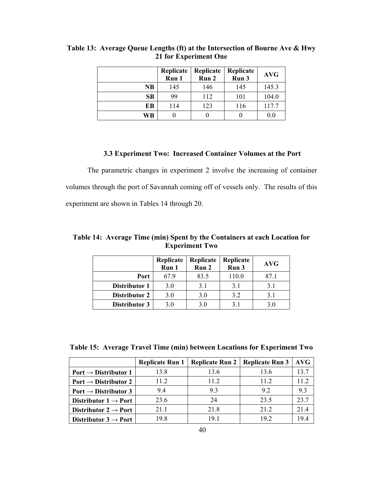|           | Replicate<br>Run 1 | Replicate<br>Run 2 | Replicate<br>Run 3 | <b>AVG</b> |
|-----------|--------------------|--------------------|--------------------|------------|
| <b>NB</b> | 145                | 146                | 145                | 145.3      |
| SB        | 99                 | 112                | 101                | 104.0      |
| EВ        | 114                | 123                | 116                | 117.7      |
| WB        |                    |                    |                    | 0.0        |

**Table 13: Average Queue Lengths (ft) at the Intersection of Bourne Ave & Hwy 21 for Experiment One** 

#### **3.3 Experiment Two: Increased Container Volumes at the Port**

The parametric changes in experiment 2 involve the increasing of container volumes through the port of Savannah coming off of vessels only. The results of this experiment are shown in Tables 14 through 20.

|               | Replicate<br>Run 1 | Replicate<br>Run 2 | Replicate<br>Run 3 | <b>AVG</b> |
|---------------|--------------------|--------------------|--------------------|------------|
| Port          | 67.9               | 83.5               | 110.0              | 87.1       |
| Distributor 1 | 3.0                | 3.1                | 3.1                | 3.1        |
| Distributor 2 | 3.0                | 3.0                | 3.2                | 3.1        |
| Distributor 3 | 3.0                | 3.0                | 3.1                | 3.0        |

**Table 14: Average Time (min) Spent by the Containers at each Location for Experiment Two** 

**Table 15: Average Travel Time (min) between Locations for Experiment Two** 

|                                  | <b>Replicate Run 1</b> | Replicate Run 2 | <b>Replicate Run 3</b> | <b>AVG</b> |
|----------------------------------|------------------------|-----------------|------------------------|------------|
| Port $\rightarrow$ Distributor 1 | 13.8                   | 13.6            | 13.6                   | 13.7       |
| Port $\rightarrow$ Distributor 2 | 11.2                   | 11.2            | 11 2                   | 11 2       |
| Port $\rightarrow$ Distributor 3 | 94                     | 93              | 92                     | 93         |
| Distributor $1 \rightarrow$ Port | 23.6                   | 24              | 23.5                   | 23.7       |
| Distributor $2 \rightarrow$ Port | 21.1                   | 21.8            | 21 2                   | 214        |
| Distributor $3 \rightarrow$ Port | 19 8                   | 191             | 19 2                   | 19.4       |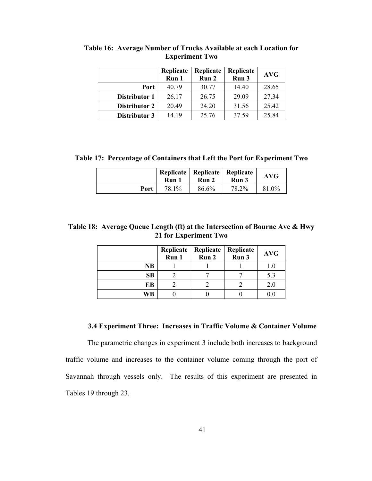|                      | Replicate | Replicate | Replicate | <b>AVG</b> |
|----------------------|-----------|-----------|-----------|------------|
|                      | Run 1     | Run 2     | Run 3     |            |
| Port                 | 40.79     | 30.77     | 14.40     | 28.65      |
| Distributor 1        | 26.17     | 26.75     | 29.09     | 27.34      |
| <b>Distributor 2</b> | 20.49     | 24.20     | 31.56     | 25.42      |
| Distributor 3        | 14.19     | 25.76     | 37.59     | 25.84      |

**Table 16: Average Number of Trucks Available at each Location for Experiment Two** 

**Table 17: Percentage of Containers that Left the Port for Experiment Two** 

|      | Run 1 | Replicate   Replicate   Replicate<br>Run 2 | Run 3 | <b>AVG</b> |
|------|-------|--------------------------------------------|-------|------------|
| Port | 78.1% | 86.6%                                      | 78.2% | 81.0%      |

**Table 18: Average Queue Length (ft) at the Intersection of Bourne Ave & Hwy 21 for Experiment Two** 

|    | Replicate<br>$\tilde{Run}$ 1 | Replicate<br>Run 2 | Replicate<br>Run 3 | <b>AVG</b> |
|----|------------------------------|--------------------|--------------------|------------|
| NB |                              |                    |                    |            |
| SB |                              |                    |                    |            |
| EB |                              |                    |                    | 2.0        |
| WВ |                              |                    |                    |            |

# **3.4 Experiment Three: Increases in Traffic Volume & Container Volume**

The parametric changes in experiment 3 include both increases to background traffic volume and increases to the container volume coming through the port of Savannah through vessels only. The results of this experiment are presented in Tables 19 through 23.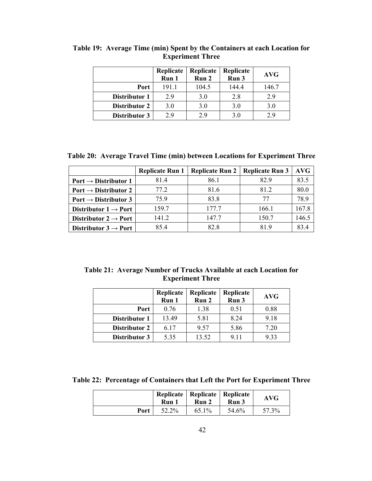|                      | Replicate<br>Run 1 | Replicate<br>Run 2 | Replicate<br>Run 3 | <b>AVG</b> |
|----------------------|--------------------|--------------------|--------------------|------------|
| Port                 | 191.1              | 104.5              | 144.4              | 146.7      |
| Distributor 1        | 2.9                | 3.0                | 2.8                | 2.9        |
| <b>Distributor 2</b> | 3.0                | 3.0                | 3.0                | 3.0        |
| Distributor 3        | 29                 | 2.9                | 3.0                | 2.9        |

**Table 19: Average Time (min) Spent by the Containers at each Location for Experiment Three** 

**Table 20: Average Travel Time (min) between Locations for Experiment Three** 

|                                  | <b>Replicate Run 1</b> | <b>Replicate Run 2</b> | <b>Replicate Run 3</b> | <b>AVG</b> |
|----------------------------------|------------------------|------------------------|------------------------|------------|
| Port $\rightarrow$ Distributor 1 | 81.4                   | 86.1                   | 829                    | 83.5       |
| Port $\rightarrow$ Distributor 2 | 77.2                   | 816                    | 812                    | 80.0       |
| Port $\rightarrow$ Distributor 3 | 75.9                   | 83.8                   | 77                     | 789        |
| Distributor $1 \rightarrow$ Port | 159.7                  | 177.7                  | 166.1                  | 167.8      |
| Distributor $2 \rightarrow$ Port | 141.2                  | 147.7                  | 150.7                  | 146.5      |
| Distributor $3 \rightarrow$ Port | 85.4                   | 82.8                   | 819                    | 83.4       |

**Table 21: Average Number of Trucks Available at each Location for Experiment Three** 

|                      | Replicate<br>Run 1 | Replicate<br>Run 2 | Replicate<br>Run 3 | <b>AVG</b> |
|----------------------|--------------------|--------------------|--------------------|------------|
| Port                 | 0.76               | 1.38               | 0.51               | 0.88       |
| Distributor 1        | 13.49              | 5.81               | 8.24               | 9.18       |
| <b>Distributor 2</b> | 6.17               | 9.57               | 5.86               | 7.20       |
| Distributor 3        | 5.35               | 13.52              | 9.11               | 9.33       |

**Table 22: Percentage of Containers that Left the Port for Experiment Three** 

|      | Run   | Replicate   Replicate   Replicate<br>Run 2 | Run 3 | <b>AVG</b> |
|------|-------|--------------------------------------------|-------|------------|
| Port | 52.2% | 65.1%                                      | 54.6% | 57.3%      |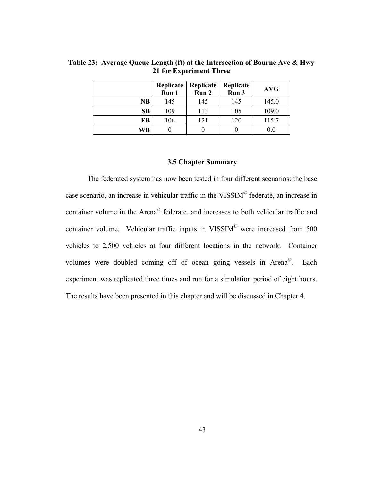|    | Replicate<br>Run 1 | Replicate<br>Run 2 | Replicate<br>Run 3 | <b>AVG</b> |
|----|--------------------|--------------------|--------------------|------------|
| NB | 145                | 145                | 145                | 145.0      |
| SB | 109                | 113                | 105                | 109.0      |
| EB | 106                | 121                | 120                | 115.7      |
| WB |                    | U                  |                    | 0.0        |

**Table 23: Average Queue Length (ft) at the Intersection of Bourne Ave & Hwy 21 for Experiment Three** 

# **3.5 Chapter Summary**

The federated system has now been tested in four different scenarios: the base case scenario, an increase in vehicular traffic in the VISSIM© federate, an increase in container volume in the Arena© federate, and increases to both vehicular traffic and container volume. Vehicular traffic inputs in VISSIM© were increased from 500 vehicles to 2,500 vehicles at four different locations in the network. Container volumes were doubled coming off of ocean going vessels in Arena©. Each experiment was replicated three times and run for a simulation period of eight hours. The results have been presented in this chapter and will be discussed in Chapter 4.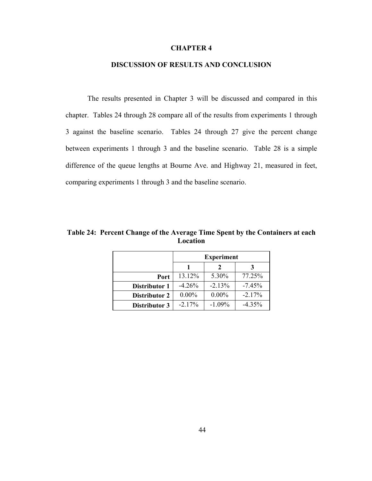## **CHAPTER 4**

## **DISCUSSION OF RESULTS AND CONCLUSION**

The results presented in Chapter 3 will be discussed and compared in this chapter. Tables 24 through 28 compare all of the results from experiments 1 through 3 against the baseline scenario. Tables 24 through 27 give the percent change between experiments 1 through 3 and the baseline scenario. Table 28 is a simple difference of the queue lengths at Bourne Ave. and Highway 21, measured in feet, comparing experiments 1 through 3 and the baseline scenario.

**Table 24: Percent Change of the Average Time Spent by the Containers at each Location** 

|                      | <b>Experiment</b> |          |          |
|----------------------|-------------------|----------|----------|
|                      |                   |          |          |
| Port                 | 13.12%            | 5.30%    | 77.25%   |
| Distributor 1        | $-4.26%$          | $-2.13%$ | $-7.45%$ |
| <b>Distributor 2</b> | $0.00\%$          | $0.00\%$ | $-2.17%$ |
| Distributor 3        | $-2.17%$          | $-1.09%$ | $-4.35%$ |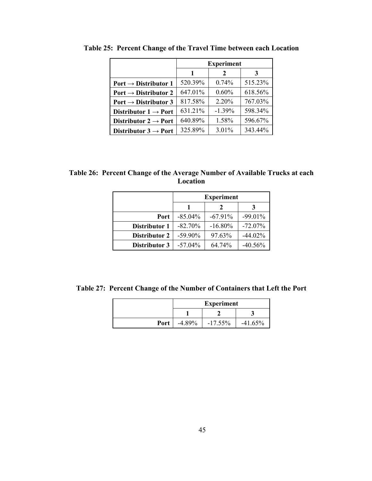|                                  | <b>Experiment</b> |               |         |
|----------------------------------|-------------------|---------------|---------|
|                                  | 1                 | $\mathcal{L}$ | 3       |
| Port $\rightarrow$ Distributor 1 | 520.39%           | 0.74%         | 515.23% |
| Port $\rightarrow$ Distributor 2 | 647.01%           | 0.60%         | 618.56% |
| Port $\rightarrow$ Distributor 3 | 817.58%           | 2.20%         | 767.03% |
| Distributor $1 \rightarrow$ Port | 631.21%           | $-1.39\%$     | 598.34% |
| Distributor $2 \rightarrow$ Port | 640.89%           | 1.58%         | 596.67% |
| Distributor $3 \rightarrow$ Port | 325.89%           | 3.01%         | 343.44% |

<span id="page-55-0"></span>**Table 25: Percent Change of the Travel Time between each Location** 

**Table 26: Percent Change of the Average Number of Available Trucks at each Location** 

|                      | <b>Experiment</b> |            |            |
|----------------------|-------------------|------------|------------|
|                      |                   | 2          |            |
| Port                 | $-85.04\%$        | $-67.91\%$ | $-99.01\%$ |
| Distributor 1        | $-82.70\%$        | $-16.80\%$ | $-72.07\%$ |
| <b>Distributor 2</b> | $-59.90\%$        | 97.63%     | $-44.02\%$ |
| Distributor 3        | $-57.04\%$        | 64.74%     | $-40.56%$  |

**Table 27: Percent Change of the Number of Containers that Left the Port** 

|      | <b>Experiment</b> |            |           |
|------|-------------------|------------|-----------|
|      |                   |            |           |
| Port | $-4.89\%$         | $-17.55\%$ | $-41.65%$ |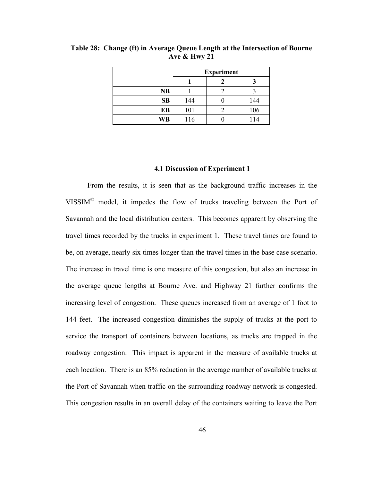|           | <b>Experiment</b> |  |     |
|-----------|-------------------|--|-----|
|           |                   |  |     |
| <b>NB</b> |                   |  |     |
| SB        | 144               |  | 144 |
| EB        | 101               |  | 106 |
| WB        | 116               |  | 114 |

<span id="page-56-0"></span>**Table 28: Change (ft) in Average Queue Length at the Intersection of Bourne Ave & Hwy 21** 

#### **4.1 Discussion of Experiment 1**

From the results, it is seen that as the background traffic increases in the VISSIM© model, it impedes the flow of trucks traveling between the Port of Savannah and the local distribution centers. This becomes apparent by observing the travel times recorded by the trucks in experiment 1. These travel times are found to be, on average, nearly six times longer than the travel times in the base case scenario. The increase in travel time is one measure of this congestion, but also an increase in the average queue lengths at Bourne Ave. and Highway 21 further confirms the increasing level of congestion. These queues increased from an average of 1 foot to 144 feet. The increased congestion diminishes the supply of trucks at the port to service the transport of containers between locations, as trucks are trapped in the roadway congestion. This impact is apparent in the measure of available trucks at each location. There is an 85% reduction in the average number of available trucks at the Port of Savannah when traffic on the surrounding roadway network is congested. This congestion results in an overall delay of the containers waiting to leave the Port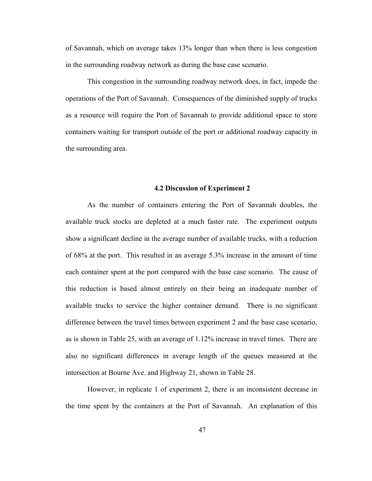of Savannah, which on average takes 13% longer than when there is less congestion in the surrounding roadway network as during the base case scenario.

This congestion in the surrounding roadway network does, in fact, impede the operations of the Port of Savannah. Consequences of the diminished supply of trucks as a resource will require the Port of Savannah to provide additional space to store containers waiting for transport outside of the port or additional roadway capacity in the surrounding area.

## **4.2 Discussion of Experiment 2**

As the number of containers entering the Port of Savannah doubles, the available truck stocks are depleted at a much faster rate. The experiment outputs show a significant decline in the average number of available trucks, with a reduction of 68% at the port. This resulted in an average 5.3% increase in the amount of time each container spent at the port compared with the base case scenario. The cause of this reduction is based almost entirely on their being an inadequate number of available trucks to service the higher container demand. There is no significant difference between the travel times between experiment 2 and the base case scenario, as is shown in [Table 25](#page-55-0), with an average of 1.12% increase in travel times. There are also no significant differences in average length of the queues measured at the intersection at Bourne Ave. and Highway 21, shown in [Table 28](#page-56-0).

However, in replicate 1 of experiment 2, there is an inconsistent decrease in the time spent by the containers at the Port of Savannah. An explanation of this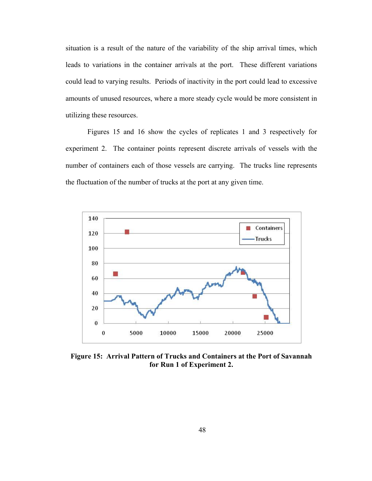situation is a result of the nature of the variability of the ship arrival times, which leads to variations in the container arrivals at the port. These different variations could lead to varying results. Periods of inactivity in the port could lead to excessive amounts of unused resources, where a more steady cycle would be more consistent in utilizing these resources.

 Figures 15 and 16 show the cycles of replicates 1 and 3 respectively for experiment 2. The container points represent discrete arrivals of vessels with the number of containers each of those vessels are carrying. The trucks line represents the fluctuation of the number of trucks at the port at any given time.



**Figure 15: Arrival Pattern of Trucks and Containers at the Port of Savannah for Run 1 of Experiment 2.**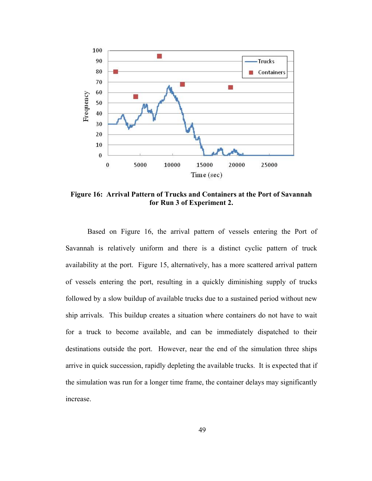

<span id="page-59-0"></span>**Figure 16: Arrival Pattern of Trucks and Containers at the Port of Savannah for Run 3 of Experiment 2.** 

Based on [Figure 16](#page-59-0), the arrival pattern of vessels entering the Port of Savannah is relatively uniform and there is a distinct cyclic pattern of truck availability at the port. Figure 15, alternatively, has a more scattered arrival pattern of vessels entering the port, resulting in a quickly diminishing supply of trucks followed by a slow buildup of available trucks due to a sustained period without new ship arrivals. This buildup creates a situation where containers do not have to wait for a truck to become available, and can be immediately dispatched to their destinations outside the port. However, near the end of the simulation three ships arrive in quick succession, rapidly depleting the available trucks. It is expected that if the simulation was run for a longer time frame, the container delays may significantly increase.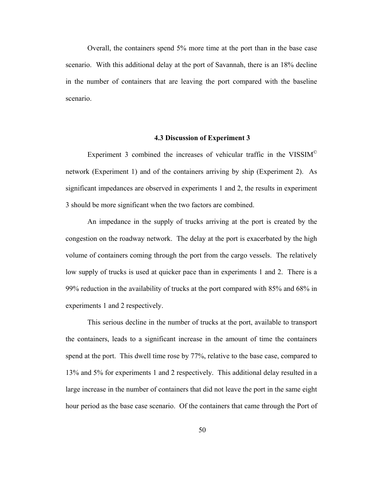Overall, the containers spend 5% more time at the port than in the base case scenario. With this additional delay at the port of Savannah, there is an 18% decline in the number of containers that are leaving the port compared with the baseline scenario.

## **4.3 Discussion of Experiment 3**

Experiment 3 combined the increases of vehicular traffic in the VISSIM© network (Experiment 1) and of the containers arriving by ship (Experiment 2). As significant impedances are observed in experiments 1 and 2, the results in experiment 3 should be more significant when the two factors are combined.

An impedance in the supply of trucks arriving at the port is created by the congestion on the roadway network. The delay at the port is exacerbated by the high volume of containers coming through the port from the cargo vessels. The relatively low supply of trucks is used at quicker pace than in experiments 1 and 2. There is a 99% reduction in the availability of trucks at the port compared with 85% and 68% in experiments 1 and 2 respectively.

This serious decline in the number of trucks at the port, available to transport the containers, leads to a significant increase in the amount of time the containers spend at the port. This dwell time rose by 77%, relative to the base case, compared to 13% and 5% for experiments 1 and 2 respectively. This additional delay resulted in a large increase in the number of containers that did not leave the port in the same eight hour period as the base case scenario. Of the containers that came through the Port of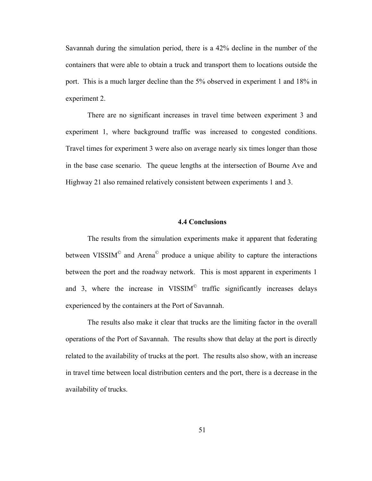Savannah during the simulation period, there is a 42% decline in the number of the containers that were able to obtain a truck and transport them to locations outside the port. This is a much larger decline than the 5% observed in experiment 1 and 18% in experiment 2.

There are no significant increases in travel time between experiment 3 and experiment 1, where background traffic was increased to congested conditions. Travel times for experiment 3 were also on average nearly six times longer than those in the base case scenario. The queue lengths at the intersection of Bourne Ave and Highway 21 also remained relatively consistent between experiments 1 and 3.

# **4.4 Conclusions**

The results from the simulation experiments make it apparent that federating between VISSIM<sup>©</sup> and Arena<sup>©</sup> produce a unique ability to capture the interactions between the port and the roadway network. This is most apparent in experiments 1 and 3, where the increase in VISSIM<sup> $\odot$ </sup> traffic significantly increases delays experienced by the containers at the Port of Savannah.

The results also make it clear that trucks are the limiting factor in the overall operations of the Port of Savannah. The results show that delay at the port is directly related to the availability of trucks at the port. The results also show, with an increase in travel time between local distribution centers and the port, there is a decrease in the availability of trucks.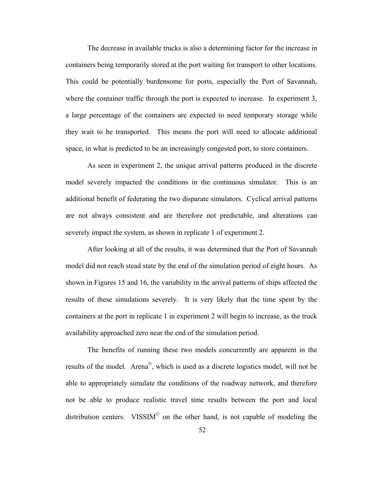The decrease in available trucks is also a determining factor for the increase in containers being temporarily stored at the port waiting for transport to other locations. This could be potentially burdensome for ports, especially the Port of Savannah, where the container traffic through the port is expected to increase. In experiment 3, a large percentage of the containers are expected to need temporary storage while they wait to be transported. This means the port will need to allocate additional space, in what is predicted to be an increasingly congested port, to store containers.

As seen in experiment 2, the unique arrival patterns produced in the discrete model severely impacted the conditions in the continuous simulator. This is an additional benefit of federating the two disparate simulators. Cyclical arrival patterns are not always consistent and are therefore not predictable, and alterations can severely impact the system, as shown in replicate 1 of experiment 2.

After looking at all of the results, it was determined that the Port of Savannah model did not reach stead state by the end of the simulation period of eight hours. As shown in Figures 15 and 16, the variability in the arrival patterns of ships affected the results of these simulations severely. It is very likely that the time spent by the containers at the port in replicate 1 in experiment 2 will begin to increase, as the truck availability approached zero near the end of the simulation period.

The benefits of running these two models concurrently are apparent in the results of the model. Arena©, which is used as a discrete logistics model, will not be able to appropriately simulate the conditions of the roadway network, and therefore not be able to produce realistic travel time results between the port and local distribution centers. VISSIM<sup> $\degree$ </sup> on the other hand, is not capable of modeling the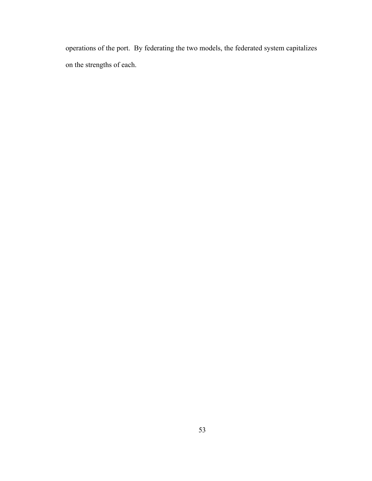operations of the port. By federating the two models, the federated system capitalizes on the strengths of each.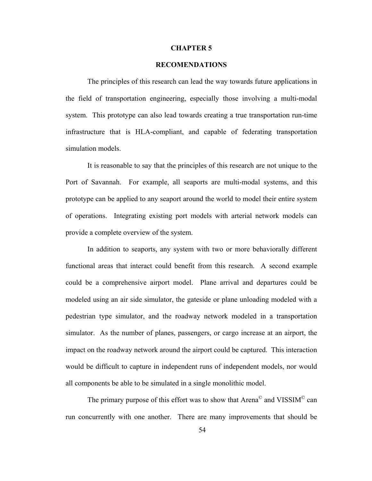#### **CHAPTER 5**

## **RECOMENDATIONS**

The principles of this research can lead the way towards future applications in the field of transportation engineering, especially those involving a multi-modal system. This prototype can also lead towards creating a true transportation run-time infrastructure that is HLA-compliant, and capable of federating transportation simulation models.

It is reasonable to say that the principles of this research are not unique to the Port of Savannah. For example, all seaports are multi-modal systems, and this prototype can be applied to any seaport around the world to model their entire system of operations. Integrating existing port models with arterial network models can provide a complete overview of the system.

In addition to seaports, any system with two or more behaviorally different functional areas that interact could benefit from this research. A second example could be a comprehensive airport model. Plane arrival and departures could be modeled using an air side simulator, the gateside or plane unloading modeled with a pedestrian type simulator, and the roadway network modeled in a transportation simulator. As the number of planes, passengers, or cargo increase at an airport, the impact on the roadway network around the airport could be captured. This interaction would be difficult to capture in independent runs of independent models, nor would all components be able to be simulated in a single monolithic model.

The primary purpose of this effort was to show that Arena<sup>©</sup> and VISSIM<sup>©</sup> can run concurrently with one another. There are many improvements that should be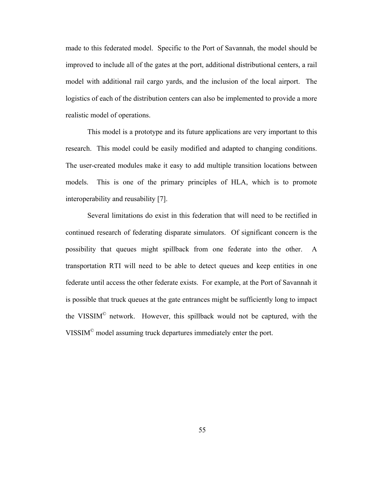made to this federated model. Specific to the Port of Savannah, the model should be improved to include all of the gates at the port, additional distributional centers, a rail model with additional rail cargo yards, and the inclusion of the local airport. The logistics of each of the distribution centers can also be implemented to provide a more realistic model of operations.

This model is a prototype and its future applications are very important to this research. This model could be easily modified and adapted to changing conditions. The user-created modules make it easy to add multiple transition locations between models. This is one of the primary principles of HLA, which is to promote interoperability and reusability [7].

 Several limitations do exist in this federation that will need to be rectified in continued research of federating disparate simulators. Of significant concern is the possibility that queues might spillback from one federate into the other. A transportation RTI will need to be able to detect queues and keep entities in one federate until access the other federate exists. For example, at the Port of Savannah it is possible that truck queues at the gate entrances might be sufficiently long to impact the VISSIM© network. However, this spillback would not be captured, with the VISSIM© model assuming truck departures immediately enter the port.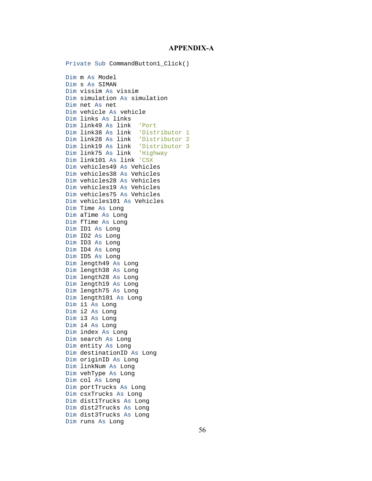### **APPENDIX-A**

Private Sub CommandButton1\_Click() Dim m As Model Dim s As SIMAN Dim vissim As vissim Dim simulation As simulation Dim net As net Dim vehicle As vehicle Dim links As links Dim link49 As link 'Port Dim link38 As link 'Distributor 1 Dim link28 As link 'Distributor 2 Dim link19 As link 'Distributor 3 Dim link75 As link 'Highway Dim link101 As link 'CSX Dim vehicles49 As Vehicles Dim vehicles38 As Vehicles Dim vehicles28 As Vehicles Dim vehicles19 As Vehicles Dim vehicles75 As Vehicles Dim vehicles101 As Vehicles Dim Time As Long Dim aTime As Long Dim fTime As Long Dim ID1 As Long Dim ID2 As Long Dim ID3 As Long Dim ID4 As Long Dim ID5 As Long Dim length49 As Long Dim length38 As Long Dim length28 As Long Dim length19 As Long Dim length75 As Long Dim length101 As Long Dim i1 As Long Dim i2 As Long Dim i3 As Long Dim i4 As Long Dim index As Long Dim search As Long Dim entity As Long Dim destinationID As Long Dim originID As Long Dim linkNum As Long Dim vehType As Long Dim col As Long Dim portTrucks As Long Dim csxTrucks As Long Dim dist1Trucks As Long Dim dist2Trucks As Long Dim dist3Trucks As Long Dim runs As Long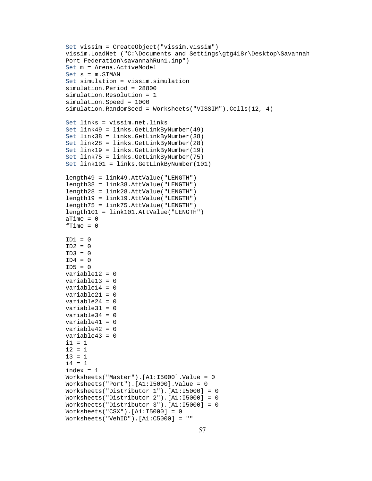```
Set vissim = CreateObject("vissim.vissim") 
vissim.LoadNet ("C:\Documents and Settings\gtg418r\Desktop\Savannah 
Port Federation\savannahRun1.inp") 
Set m = Arena.ActiveModel 
Set s = m.SIMANSet simulation = vissim.simulation 
simulation.Period = 28800 
simulation.Resolution = 1 
simulation.Speed = 1000 
simulation.RandomSeed = Worksheets("VISSIM").Cells(12, 4) 
Set links = vissim.net.links 
Set link49 = links.GetLinkByNumber(49) 
Set link38 = links.GetLinkByNumber(38) 
Set link28 = links.GetLinkByNumber(28) 
Set link19 = links.GetLinkByNumber(19) 
Set link75 = links.GetLinkByNumber(75) 
Set link101 = links.GetLinkByNumber(101) 
length49 = link49.AttValue("LENGTH") 
length38 = link38.AttValue("LENGTH") 
length28 = link28.AttValue("LENGTH") 
length19 = link19.AttValue("LENGTH") 
length75 = link75.AttValue("LENGTH") 
length101 = link101.AttValue("LENGTH") 
aTime = 0fTime = 0TD1 = 0ID2 = 0ID3 = 0ID4 = 0ID5 = 0variable12 = 0 
variable13 = 0 
variable14 = 0variable21 = 0 
variable24 = 0 
variable31 = 0variable34 = 0 
variable41 = 0 
variable42 = 0 
variable43 = 0 
i1 = 1i2 = 1i3 = 1i4 = 1index = 1Worksheets("Master").[A1:I5000].Value = 0 
Worksheets("Port").[A1:I5000].Value = 0 
Worksheets("Distributor 1").[A1:I5000] = 0 
Worksheets("Distributor 2").[A1:I5000] = 0 
Worksheets("Distributor 3").[A1:I5000] = 0 
Worksheets("CSX").[A1:I5000] = 0 
Worksheets("VehID").[A1:C5000] = ""
```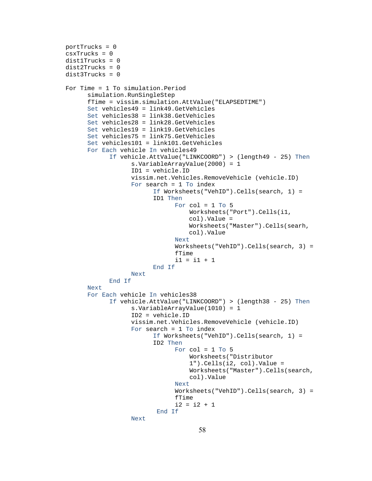```
portTrucks = 0 
csxTrucks = 0 
dist1Trucks = 0 
dist2Trucks = 0 
dist3Trucks = 0 
For Time = 1 To simulation.Period 
      simulation.RunSingleStep 
      fTime = vissim.simulation.AttValue("ELAPSEDTIME") 
      Set vehicles49 = link49.GetVehicles 
      Set vehicles38 = link38.GetVehicles 
      Set vehicles28 = link28.GetVehicles 
      Set vehicles19 = link19.GetVehicles 
      Set vehicles75 = link75.GetVehicles 
      Set vehicles101 = link101.GetVehicles 
      For Each vehicle In vehicles49 
             If vehicle.AttValue("LINKCOORD") > (length49 - 25) Then 
                    s.VariableArrayValue(2000) = 1 
                    ID1 = vehicle.ID 
                    vissim.net.Vehicles.RemoveVehicle (vehicle.ID) 
                    For search = 1 To index 
                         If Worksheets("VehID").Cells(search, 1) = 
                         ID1 Then
                                For col = 1 To 5 Worksheets("Port").Cells(i1, 
                                    col).Value = 
                                    Worksheets("Master").Cells(searh, 
                                    col).Value 
                                 Next 
                                 Worksheets("VehID").Cells(search, 3) = 
                                fTime 
                                 i1 = i1 + 1 
                          End If 
                    Next 
             End If 
       Next 
      For Each vehicle In vehicles38 
             If vehicle.AttValue("LINKCOORD") > (length38 - 25) Then 
                    s.VariableArrayValue(1010) = 1 
                    ID2 = vehicle.ID 
                    vissim.net.Vehicles.RemoveVehicle (vehicle.ID) 
                    For search = 1 To index 
                          If Worksheets("VehID").Cells(search, 1) = 
                         ID2 Then
                                For col = 1 To 5 Worksheets("Distributor 
                                     1").Cells(i2, col).Value = 
                                     Worksheets("Master").Cells(search, 
                                     col).Value 
                                 Next 
                                 Worksheets("VehID").Cells(search, 3) = 
                                fTime 
                                i2 = i2 + 1 End If 
                    Next
```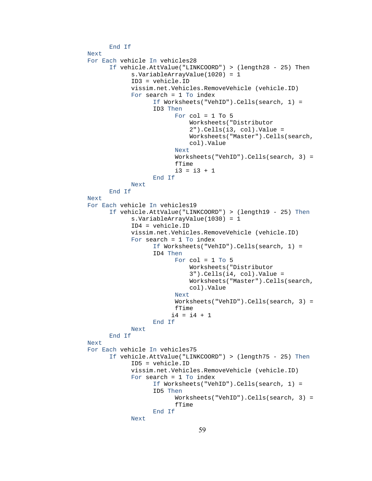```
End If 
Next 
For Each vehicle In vehicles28 
      If vehicle.AttValue("LINKCOORD") > (length28 - 25) Then 
              s.VariableArrayValue(1020) = 1 
             ID3 = vehicle.ID 
             vissim.net.Vehicles.RemoveVehicle (vehicle.ID) 
             For search = 1 To index 
                    If Worksheets("VehID").Cells(search, 1) = 
                   ID3 Then
                          For col = 1 To 5 Worksheets("Distributor 
                               2").Cells(i3, col).Value = 
                               Worksheets("Master").Cells(search, 
                               col).Value 
                          Next 
                           Worksheets("VehID").Cells(search, 3) = 
                          fTime 
                          i3 = i3 + 1 End If 
            Next 
      End If 
Next 
For Each vehicle In vehicles19 
      If vehicle.AttValue("LINKCOORD") > (length19 - 25) Then
              s.VariableArrayValue(1030) = 1 
              ID4 = vehicle.ID 
             vissim.net.Vehicles.RemoveVehicle (vehicle.ID) 
              For search = 1 To index 
                    If Worksheets("VehID").Cells(search, 1) = 
                   ID4 Then
                          For col = 1 To 5 Worksheets("Distributor 
                               3").Cells(i4, col).Value = 
                               Worksheets("Master").Cells(search, 
                               col).Value 
                          Next 
                           Worksheets("VehID").Cells(search, 3) = 
                          fTime 
                        i4 = i4 + 1 End If 
             Next 
      End If 
Next 
For Each vehicle In vehicles75 
      If vehicle.AttValue("LINKCOORD") > (length75 - 25) Then
              ID5 = vehicle.ID 
             vissim.net.Vehicles.RemoveVehicle (vehicle.ID) 
              For search = 1 To index 
                    If Worksheets("VehID").Cells(search, 1) = 
                   ID5 Then
                           Worksheets("VehID").Cells(search, 3) = 
                          fTime 
                    End If 
            Next
```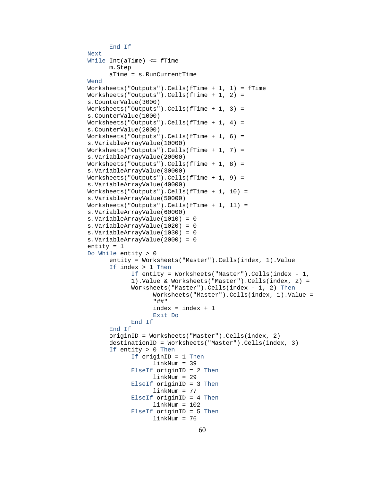```
End If 
Next 
While Int(aTime) <= fTime 
      m.Step 
       aTime = s.RunCurrentTime 
Wend 
Worksheets("Outputs").Cells(fTime + 1, 1) = fTime 
Worksheets("Outputs").Cells(fTime + 1, 2) = 
s.CounterValue(3000) 
Work sheets('Outputs').Cells(fTime + 1, 3) =s.CounterValue(1000) 
Worksheets("Outputs").Cells(fTime + 1, 4) = 
s.CounterValue(2000) 
Worksheets("Outputs").Cells(fTime + 1, 6) = 
s.VariableArrayValue(10000) 
Worksheets("Outputs").Cells(fTime + 1, 7) = 
s.VariableArrayValue(20000) 
Worksheets("Outputs").Cells(fTime + 1, 8) = 
s.VariableArrayValue(30000) 
Worksheets("Outputs").Cells(fTime + 1, 9) = 
s.VariableArrayValue(40000) 
Worksheets("Outputs").Cells(fTime + 1, 10) = 
s.VariableArrayValue(50000) 
Worksheets("Outputs").Cells(fTime + 1, 11) = 
s.VariableArrayValue(60000) 
s.VariableArrayValue(1010) = 0 
s.VariableArrayValue(1020) = 0 
s.VariableArrayValue(1030) = 0 
s.VariableArrayValue(2000) = 0 
entity = 1 
Do While entity > 0 
      entity = Worksheets("Master").Cells(index, 1).Value 
       If index > 1 Then
            If entity = Worksheets("Master").Cells(index - 1, 
            1).Value & Worksheets("Master").Cells(index, 2) = 
            Worksheets("Master").Cells(index - 1, 2) Then
                   Worksheets("Master").Cells(index, 1).Value = 
                   "##" 
                   index = index + 1 Exit Do 
             End If 
      End If 
       originID = Worksheets("Master").Cells(index, 2) 
       destinationID = Worksheets("Master").Cells(index, 3) 
       If entity > 0 Then
             If originID = 1 Then
                    linkNum = 39 
             ElseIf originID = 2 Then
                    linkNum = 29 
             ElseIf originID = 3 Then
                    linkNum = 77 
             ElseIf originID = 4 Then
                    linkNum = 102 
             ElseIf originID = 5 Then
                    linkNum = 76
```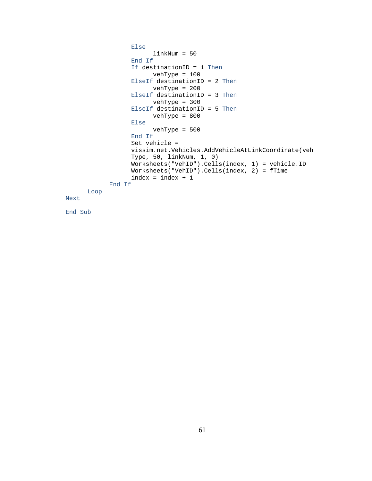```
 Else 
                           linkNum = 50 
                    End If 
                    If destinationID = 1 Then
                          vehType = 100 
                    ElseIf destinationID = 2 Then 
                          vehType = 200 
                    ElseIf destinationID = 3 Then
                          vehType = 300 
                    ElseIf destinationID = 5 Then
                          vehType = 800 
                    Else 
                          vehType = 500 
                    End If 
                   Set vehicle = 
                   vissim.net.Vehicles.AddVehicleAtLinkCoordinate(veh
                   Type, 50, linkNum, 1, 0) 
                    Worksheets("VehID").Cells(index, 1) = vehicle.ID 
                    Worksheets("VehID").Cells(index, 2) = fTime 
                   index = index + 1End If 
      Loop 
Next
```
End Sub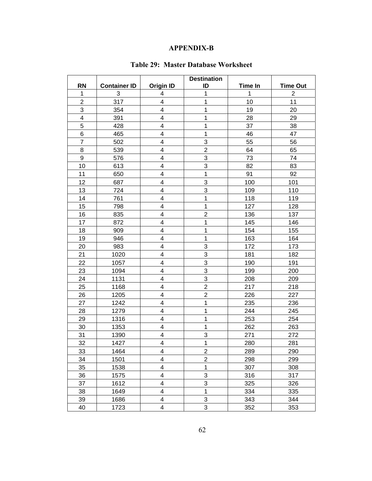## **APPENDIX-B**

<span id="page-72-0"></span>

|                  |                     |                         | <b>Destination</b> |                |                 |
|------------------|---------------------|-------------------------|--------------------|----------------|-----------------|
| <b>RN</b>        | <b>Container ID</b> | <b>Origin ID</b>        | ID                 | <b>Time In</b> | <b>Time Out</b> |
| $\mathbf 1$      | 3                   | 4                       | 1                  | 1              | $\overline{2}$  |
| $\overline{c}$   | 317                 | $\overline{\mathbf{4}}$ | 1                  | 10             | 11              |
| 3                | 354                 | 4                       | $\mathbf 1$        | 19             | 20              |
| 4                | 391                 | 4                       | $\mathbf 1$        | 28             | 29              |
| 5                | 428                 | 4                       | $\mathbf 1$        | 37             | 38              |
| 6                | 465                 | $\overline{\mathbf{4}}$ | 1                  | 46             | 47              |
| $\overline{7}$   | 502                 | $\overline{\mathbf{4}}$ | 3                  | 55             | 56              |
| 8                | 539                 | $\overline{\mathbf{4}}$ | $\overline{2}$     | 64             | 65              |
| $\boldsymbol{9}$ | 576                 | 4                       | 3                  | 73             | 74              |
| 10               | 613                 | $\overline{\mathbf{4}}$ | 3                  | 82             | 83              |
| 11               | 650                 | $\overline{\mathbf{4}}$ | $\mathbf 1$        | 91             | 92              |
| 12               | 687                 | $\overline{\mathbf{4}}$ | 3                  | 100            | 101             |
| 13               | 724                 | $\overline{\mathbf{4}}$ | 3                  | 109            | 110             |
| 14               | 761                 | 4                       | $\mathbf 1$        | 118            | 119             |
| 15               | 798                 | $\overline{\mathbf{4}}$ | $\mathbf 1$        | 127            | 128             |
| 16               | 835                 | 4                       | $\overline{2}$     | 136            | 137             |
| 17               | 872                 | $\overline{\mathbf{4}}$ | $\mathbf 1$        | 145            | 146             |
| 18               | 909                 | $\overline{\mathbf{4}}$ | 1                  | 154            | 155             |
| 19               | 946                 | 4                       | $\mathbf 1$        | 163            | 164             |
| 20               | 983                 | $\overline{\mathbf{4}}$ | 3                  | 172            | 173             |
| 21               | 1020                | $\overline{\mathbf{4}}$ | 3                  | 181            | 182             |
| 22               | 1057                | 4                       | 3                  | 190            | 191             |
| 23               | 1094                | $\overline{\mathbf{4}}$ | 3                  | 199            | 200             |
| 24               | 1131                | $\overline{\mathbf{4}}$ | 3                  | 208            | 209             |
| 25               | 1168                | $\overline{\mathbf{4}}$ | $\overline{2}$     | 217            | 218             |
| 26               | 1205                | $\overline{\mathbf{4}}$ | $\overline{2}$     | 226            | 227             |
| 27               | 1242                | 4                       | $\mathbf 1$        | 235            | 236             |
| 28               | 1279                | 4                       | 1                  | 244            | 245             |
| 29               | 1316                | 4                       | $\mathbf 1$        | 253            | 254             |
| 30               | 1353                | $\overline{\mathbf{4}}$ | 1                  | 262            | 263             |
| 31               | 1390                | 4                       | 3                  | 271            | 272             |
| 32               | 1427                | 4                       | $\mathbf 1$        | 280            | 281             |
| 33               | 1464                | 4                       | $\overline{c}$     | 289            | 290             |
| 34               | 1501                | 4                       | $\overline{2}$     | 298            | 299             |
| 35               | 1538                | 4                       | 1                  | 307            | 308             |
| 36               | 1575                | 4                       | 3                  | 316            | 317             |
| 37               | 1612                | 4                       | 3                  | 325            | 326             |
| 38               | 1649                | $\overline{\mathbf{4}}$ | $\mathbf 1$        | 334            | 335             |
| 39               | 1686                | 4                       | 3                  | 343            | 344             |
| 40               | 1723                | $\overline{\mathbf{4}}$ | 3                  | 352            | 353             |

## **Table 29: Master Database Worksheet**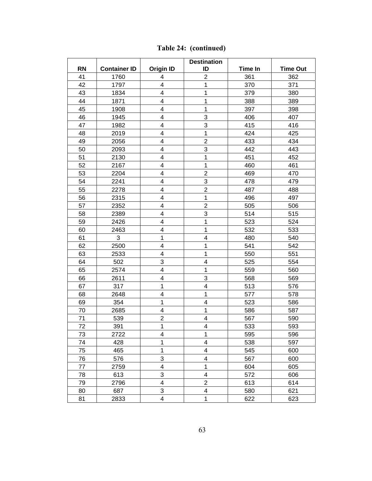|           | <b>Destination</b>  |                         |                         |                |                 |
|-----------|---------------------|-------------------------|-------------------------|----------------|-----------------|
| <b>RN</b> | <b>Container ID</b> | <b>Origin ID</b>        | ID                      | <b>Time In</b> | <b>Time Out</b> |
| 41        | 1760                | 4                       | $\overline{2}$          | 361            | 362             |
| 42        | 1797                | 4                       | 1                       | 370            | 371             |
| 43        | 1834                | 4                       | 1                       | 379            | 380             |
| 44        | 1871                | 4                       | $\mathbf 1$             | 388            | 389             |
| 45        | 1908                | 4                       | 1                       | 397            | 398             |
| 46        | 1945                | 4                       | 3                       | 406            | 407             |
| 47        | 1982                | 4                       | 3                       | 415            | 416             |
| 48        | 2019                | 4                       | $\mathbf{1}$            | 424            | 425             |
| 49        | 2056                | $\overline{\mathbf{4}}$ | $\overline{2}$          | 433            | 434             |
| 50        | 2093                | $\overline{\mathbf{4}}$ | 3                       | 442            | 443             |
| 51        | 2130                | $\overline{\mathbf{4}}$ | 1                       | 451            | 452             |
| 52        | 2167                | 4                       | 1                       | 460            | 461             |
| 53        | 2204                | 4                       | $\mathbf 2$             | 469            | 470             |
| 54        | 2241                | 4                       | 3                       | 478            | 479             |
| 55        | 2278                | $\overline{\mathbf{4}}$ | $\overline{2}$          | 487            | 488             |
| 56        | 2315                | 4                       | $\mathbf{1}$            | 496            | 497             |
| 57        | 2352                | $\overline{\mathbf{4}}$ | $\overline{2}$          | 505            | 506             |
| 58        | 2389                | 4                       | 3                       | 514            | 515             |
| 59        | 2426                | 4                       | 1                       | 523            | 524             |
| 60        | 2463                | $\overline{\mathbf{4}}$ | 1                       | 532            | 533             |
| 61        | 3                   | 1                       | $\overline{\mathbf{4}}$ | 480            | 540             |
| 62        | 2500                | $\overline{\mathbf{4}}$ | 1                       | 541            | 542             |
| 63        | 2533                | $\overline{\mathbf{4}}$ | $\mathbf 1$             | 550            | 551             |
| 64        | 502                 | 3                       | $\overline{\mathbf{4}}$ | 525            | 554             |
| 65        | 2574                | 4                       | 1                       | 559            | 560             |
| 66        | 2611                | 4                       | 3                       | 568            | 569             |
| 67        | 317                 | 1                       | $\overline{\mathbf{4}}$ | 513            | 576             |
| 68        | 2648                | $\overline{\mathbf{4}}$ | $\mathbf{1}$            | 577            | 578             |
| 69        | 354                 | 1                       | 4                       | 523            | 586             |
| 70        | 2685                | 4                       | 1                       | 586            | 587             |
| 71        | 539                 | $\mathbf 2$             | 4                       | 567            | 590             |
| 72        | 391                 | 1                       | $\overline{4}$          | 533            | 593             |
| 73        | 2722                | 4                       | 1                       | 595            | 596             |
| 74        | 428                 | 1                       | 4                       | 538            | 597             |
| 75        | 465                 | 1                       | 4                       | 545            | 600             |
| 76        | 576                 | 3                       | 4                       | 567            | 600             |
| 77        | 2759                | $\overline{\mathbf{4}}$ | 1                       | 604            | 605             |
| 78        | 613                 | 3                       | 4                       | 572            | 606             |
| 79        | 2796                | $\overline{\mathbf{4}}$ | $\overline{2}$          | 613            | 614             |
| 80        | 687                 | 3                       | $\overline{\mathbf{4}}$ | 580            | 621             |
| 81        | 2833                | $\overline{\mathbf{4}}$ | 1                       | 622            | 623             |

**[Table 24:](#page-72-0) (continued)**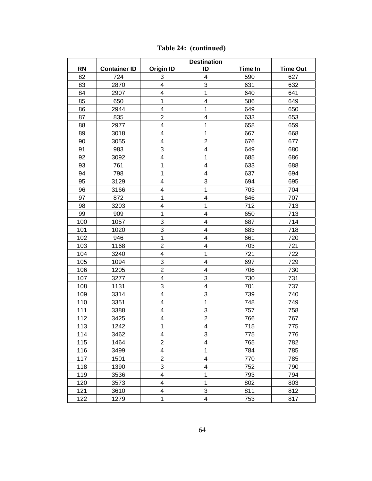|           |                     |                         | <b>Destination</b>      |                |                 |
|-----------|---------------------|-------------------------|-------------------------|----------------|-----------------|
| <b>RN</b> | <b>Container ID</b> | <b>Origin ID</b>        | ID                      | <b>Time In</b> | <b>Time Out</b> |
| 82        | 724                 | 3                       | 4                       | 590            | 627             |
| 83        | 2870                | 4                       | 3                       | 631            | 632             |
| 84        | 2907                | 4                       | $\mathbf 1$             | 640            | 641             |
| 85        | 650                 | 1                       | 4                       | 586            | 649             |
| 86        | 2944                | 4                       | 1                       | 649            | 650             |
| 87        | 835                 | $\overline{2}$          | 4                       | 633            | 653             |
| 88        | 2977                | $\overline{\mathbf{4}}$ | $\mathbf 1$             | 658            | 659             |
| 89        | 3018                | 4                       | $\mathbf 1$             | 667            | 668             |
| 90        | 3055                | 4                       | $\overline{2}$          | 676            | 677             |
| 91        | 983                 | 3                       | 4                       | 649            | 680             |
| 92        | 3092                | 4                       | $\mathbf{1}$            | 685            | 686             |
| 93        | 761                 | 1                       | $\overline{\mathbf{4}}$ | 633            | 688             |
| 94        | 798                 | $\mathbf 1$             | 4                       | 637            | 694             |
| 95        | 3129                | $\overline{\mathbf{4}}$ | 3                       | 694            | 695             |
| 96        | 3166                | 4                       | 1                       | 703            | 704             |
| 97        | 872                 | $\mathbf{1}$            | 4                       | 646            | 707             |
| 98        | 3203                | $\overline{\mathbf{4}}$ | $\mathbf 1$             | 712            | 713             |
| 99        | 909                 | 1                       | 4                       | 650            | 713             |
| 100       | 1057                | 3                       | 4                       | 687            | 714             |
| 101       | 1020                | 3                       | $\overline{\mathbf{4}}$ | 683            | 718             |
| 102       | 946                 | $\mathbf 1$             | $\overline{\mathbf{4}}$ | 661            | 720             |
| 103       | 1168                | $\overline{\mathbf{c}}$ | 4                       | 703            | 721             |
| 104       | 3240                | $\overline{\mathbf{4}}$ | 1                       | 721            | 722             |
| 105       | 1094                | 3                       | 4                       | 697            | 729             |
| 106       | 1205                | $\overline{2}$          | 4                       | 706            | 730             |
| 107       | 3277                | $\overline{\mathbf{4}}$ | 3                       | 730            | 731             |
| 108       | 1131                | 3                       | $\overline{\mathbf{4}}$ | 701            | 737             |
| 109       | 3314                | 4                       | 3                       | 739            | 740             |
| 110       | 3351                | 4                       | $\mathbf 1$             | 748            | 749             |
| 111       | 3388                | 4                       | 3                       | 757            | 758             |
| 112       | 3425                | 4                       | $\overline{\mathbf{c}}$ | 766            | 767             |
| 113       | 1242                | $\mathbf{1}$            | $\overline{\mathbf{4}}$ | 715            | 775             |
| 114       | 3462                | 4                       | 3                       | 775            | 776             |
| 115       | 1464                | $\overline{c}$          | 4                       | 765            | 782             |
| 116       | 3499                | $\overline{\mathbf{4}}$ | 1                       | 784            | 785             |
| 117       | 1501                | $\overline{2}$          | 4                       | 770            | 785             |
| 118       | 1390                | 3                       | 4                       | 752            | 790             |
| 119       | 3536                | $\overline{\mathbf{4}}$ | 1                       | 793            | 794             |
| 120       | 3573                | $\overline{\mathbf{4}}$ | 1                       | 802            | 803             |
| 121       | 3610                | $\overline{\mathbf{4}}$ | 3                       | 811            | 812             |
| 122       | 1279                | $\mathbf 1$             | 4                       | 753            | 817             |

**[Table 24:](#page-72-0) (continued)**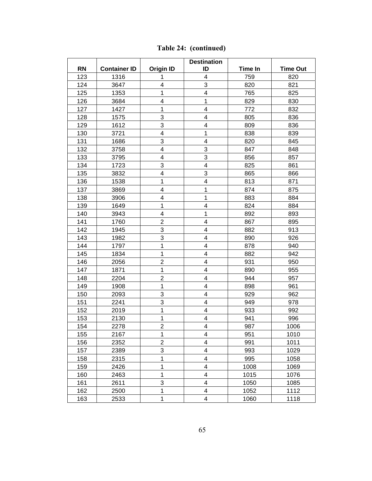|           |                     |                         | <b>Destination</b>      |         |                 |
|-----------|---------------------|-------------------------|-------------------------|---------|-----------------|
| <b>RN</b> | <b>Container ID</b> | <b>Origin ID</b>        | ID                      | Time In | <b>Time Out</b> |
| 123       | 1316                | 1                       | $\overline{\mathbf{4}}$ | 759     | 820             |
| 124       | 3647                | $\overline{\mathbf{4}}$ | 3                       | 820     | 821             |
| 125       | 1353                | 1                       | 4                       | 765     | 825             |
| 126       | 3684                | $\overline{\mathbf{4}}$ | $\mathbf 1$             | 829     | 830             |
| 127       | 1427                | 1                       | 4                       | 772     | 832             |
| 128       | 1575                | 3                       | 4                       | 805     | 836             |
| 129       | 1612                | 3                       | 4                       | 809     | 836             |
| 130       | 3721                | $\overline{\mathbf{4}}$ | 1                       | 838     | 839             |
| 131       | 1686                | 3                       | $\overline{\mathbf{4}}$ | 820     | 845             |
| 132       | 3758                | $\overline{\mathbf{4}}$ | 3                       | 847     | 848             |
| 133       | 3795                | 4                       | 3                       | 856     | 857             |
| 134       | 1723                | 3                       | 4                       | 825     | 861             |
| 135       | 3832                | $\overline{\mathbf{4}}$ | 3                       | 865     | 866             |
| 136       | 1538                | 1                       | 4                       | 813     | 871             |
| 137       | 3869                | $\overline{\mathbf{4}}$ | 1                       | 874     | 875             |
| 138       | 3906                | 4                       | 1                       | 883     | 884             |
| 139       | 1649                | 1                       | 4                       | 824     | 884             |
| 140       | 3943                | $\overline{\mathbf{4}}$ | $\mathbf 1$             | 892     | 893             |
| 141       | 1760                | $\overline{2}$          | 4                       | 867     | 895             |
| 142       | 1945                | 3                       | $\overline{\mathbf{4}}$ | 882     | 913             |
| 143       | 1982                | 3                       | 4                       | 890     | 926             |
| 144       | 1797                | 1                       | 4                       | 878     | 940             |
| 145       | 1834                | $\mathbf 1$             | 4                       | 882     | 942             |
| 146       | 2056                | $\overline{c}$          | 4                       | 931     | 950             |
| 147       | 1871                | 1                       | 4                       | 890     | 955             |
| 148       | 2204                | $\overline{2}$          | 4                       | 944     | 957             |
| 149       | 1908                | 1                       | 4                       | 898     | 961             |
| 150       | 2093                | 3                       | 4                       | 929     | 962             |
| 151       | 2241                | 3                       | 4                       | 949     | 978             |
| 152       | 2019                | 1                       | $\overline{\mathbf{4}}$ | 933     | 992             |
| 153       | 2130                | 1                       | 4                       | 941     | 996             |
| 154       | 2278                | $\overline{2}$          | 4                       | 987     | 1006            |
| 155       | 2167                | 1                       | 4                       | 951     | 1010            |
| 156       | 2352                | $\overline{2}$          | 4                       | 991     | 1011            |
| 157       | 2389                | 3                       | 4                       | 993     | 1029            |
| 158       | 2315                | 1                       | 4                       | 995     | 1058            |
| 159       | 2426                | 1                       | 4                       | 1008    | 1069            |
| 160       | 2463                | 1                       | 4                       | 1015    | 1076            |
| 161       | 2611                | 3                       | 4                       | 1050    | 1085            |
| 162       | 2500                | 1                       | 4                       | 1052    | 1112            |
| 163       | 2533                | 1                       | 4                       | 1060    | 1118            |

**[Table 24:](#page-72-0) (continued)**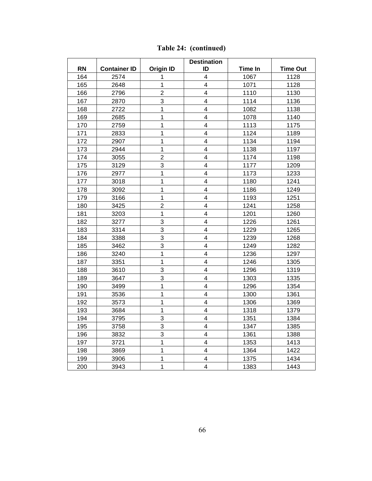|           |                     |                  | <b>Destination</b>      |                |                 |
|-----------|---------------------|------------------|-------------------------|----------------|-----------------|
| <b>RN</b> | <b>Container ID</b> | <b>Origin ID</b> | ID                      | <b>Time In</b> | <b>Time Out</b> |
| 164       | 2574                | 1                | 4                       | 1067           | 1128            |
| 165       | 2648                | $\mathbf 1$      | $\overline{\mathbf{4}}$ | 1071           | 1128            |
| 166       | 2796                | $\overline{c}$   | $\overline{4}$          | 1110           | 1130            |
| 167       | 2870                | 3                | $\overline{\mathbf{4}}$ | 1114           | 1136            |
| 168       | 2722                | $\mathbf 1$      | 4                       | 1082           | 1138            |
| 169       | 2685                | 1                | 4                       | 1078           | 1140            |
| 170       | 2759                | $\mathbf 1$      | 4                       | 1113           | 1175            |
| 171       | 2833                | 1                | $\overline{\mathbf{4}}$ | 1124           | 1189            |
| 172       | 2907                | 1                | $\overline{\mathbf{4}}$ | 1134           | 1194            |
| 173       | 2944                | 1                | $\overline{4}$          | 1138           | 1197            |
| 174       | 3055                | $\overline{2}$   | $\overline{\mathbf{4}}$ | 1174           | 1198            |
| 175       | 3129                | 3                | $\overline{\mathbf{4}}$ | 1177           | 1209            |
| 176       | 2977                | 1                | $\overline{4}$          | 1173           | 1233            |
| 177       | 3018                | $\mathbf 1$      | $\overline{\mathbf{4}}$ | 1180           | 1241            |
| 178       | 3092                | $\mathbf{1}$     | $\overline{\mathbf{4}}$ | 1186           | 1249            |
| 179       | 3166                | 1                | 4                       | 1193           | 1251            |
| 180       | 3425                | $\overline{c}$   | $\overline{\mathbf{4}}$ | 1241           | 1258            |
| 181       | 3203                | 1                | $\overline{\mathbf{4}}$ | 1201           | 1260            |
| 182       | 3277                | 3                | $\overline{\mathbf{4}}$ | 1226           | 1261            |
| 183       | 3314                | 3                | $\overline{\mathbf{4}}$ | 1229           | 1265            |
| 184       | 3388                | 3                | 4                       | 1239           | 1268            |
| 185       | 3462                | $\overline{3}$   | $\overline{4}$          | 1249           | 1282            |
| 186       | 3240                | 1                | $\overline{\mathbf{4}}$ | 1236           | 1297            |
| 187       | 3351                | $\overline{1}$   | 4                       | 1246           | 1305            |
| 188       | 3610                | 3                | $\overline{\mathbf{4}}$ | 1296           | 1319            |
| 189       | 3647                | 3                | $\overline{\mathbf{4}}$ | 1303           | 1335            |
| 190       | 3499                | $\mathbf 1$      | 4                       | 1296           | 1354            |
| 191       | 3536                | 1                | $\overline{\mathbf{4}}$ | 1300           | 1361            |
| 192       | 3573                | $\mathbf{1}$     | 4                       | 1306           | 1369            |
| 193       | 3684                | $\mathbf 1$      | 4                       | 1318           | 1379            |
| 194       | 3795                | 3                | $\overline{\mathbf{4}}$ | 1351           | 1384            |
| 195       | 3758                | 3                | $\overline{\mathbf{4}}$ | 1347           | 1385            |
| 196       | 3832                | 3                | $\overline{4}$          | 1361           | 1388            |
| 197       | 3721                | 1                | 4                       | 1353           | 1413            |
| 198       | 3869                | $\mathbf{1}$     | $\overline{\mathbf{4}}$ | 1364           | 1422            |
| 199       | 3906                | 1                | $\overline{\mathbf{4}}$ | 1375           | 1434            |
| 200       | 3943                | $\mathbf{1}$     | 4                       | 1383           | 1443            |

**[Table 24:](#page-72-0) (continued)**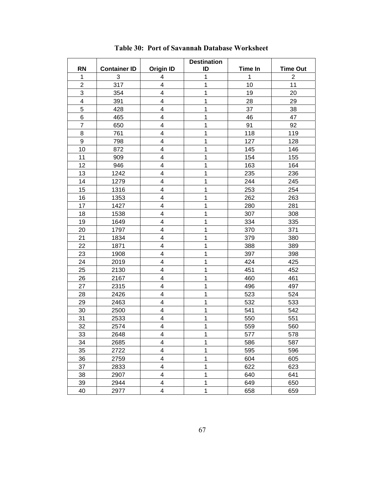<span id="page-77-0"></span>

|                |                     |                         | <b>Destination</b> |                |                 |
|----------------|---------------------|-------------------------|--------------------|----------------|-----------------|
| <b>RN</b>      | <b>Container ID</b> | <b>Origin ID</b>        | ID                 | <b>Time In</b> | <b>Time Out</b> |
| 1              | 3                   | 4                       | 1                  | 1              | $\overline{2}$  |
| $\overline{2}$ | 317                 | 4                       | 1                  | 10             | 11              |
| 3              | 354                 | 4                       | $\mathbf 1$        | 19             | 20              |
| 4              | 391                 | 4                       | 1                  | 28             | 29              |
| 5              | 428                 | $\overline{\mathbf{4}}$ | 1                  | 37             | 38              |
| 6              | 465                 | $\overline{\mathbf{4}}$ | 1                  | 46             | 47              |
| $\overline{7}$ | 650                 | $\overline{\mathbf{4}}$ | 1                  | 91             | 92              |
| 8              | 761                 | 4                       | $\mathbf 1$        | 118            | 119             |
| 9              | 798                 | 4                       | 1                  | 127            | 128             |
| 10             | 872                 | $\overline{\mathbf{4}}$ | 1                  | 145            | 146             |
| 11             | 909                 | $\overline{\mathbf{4}}$ | 1                  | 154            | 155             |
| 12             | 946                 | $\overline{\mathbf{4}}$ | 1                  | 163            | 164             |
| 13             | 1242                | $\overline{\mathbf{4}}$ | 1                  | 235            | 236             |
| 14             | 1279                | 4                       | 1                  | 244            | 245             |
| 15             | 1316                | $\overline{\mathbf{4}}$ | $\mathbf 1$        | 253            | 254             |
| 16             | 1353                | $\overline{\mathbf{4}}$ | 1                  | 262            | 263             |
| 17             | 1427                | $\overline{\mathbf{4}}$ | 1                  | 280            | 281             |
| 18             | 1538                | $\overline{\mathbf{4}}$ | 1                  | 307            | 308             |
| 19             | 1649                | 4                       | 1                  | 334            | 335             |
| 20             | 1797                | 4                       | 1                  | 370            | 371             |
| 21             | 1834                | $\overline{\mathbf{4}}$ | 1                  | 379            | 380             |
| 22             | 1871                | 4                       | 1                  | 388            | 389             |
| 23             | 1908                | 4                       | 1                  | 397            | 398             |
| 24             | 2019                | 4                       | 1                  | 424            | 425             |
| 25             | 2130                | $\overline{\mathbf{4}}$ | 1                  | 451            | 452             |
| 26             | 2167                | 4                       | 1                  | 460            | 461             |
| 27             | 2315                | 4                       | $\mathbf 1$        | 496            | 497             |
| 28             | 2426                | $\overline{\mathbf{4}}$ | 1                  | 523            | 524             |
| 29             | 2463                | 4                       | 1                  | 532            | 533             |
| 30             | 2500                | $\overline{\mathbf{4}}$ | 1                  | 541            | 542             |
| 31             | 2533                | $\overline{\mathbf{4}}$ | 1                  | 550            | 551             |
| 32             | 2574                | 4                       | 1                  | 559            | 560             |
| 33             | 2648                | $\overline{\mathbf{4}}$ | $\mathbf 1$        | 577            | 578             |
| 34             | 2685                | $\overline{\mathbf{4}}$ | 1                  | 586            | 587             |
| 35             | 2722                | 4                       | 1                  | 595            | 596             |
| 36             | 2759                | 4                       | 1                  | 604            | 605             |
| 37             | 2833                | $\overline{\mathbf{4}}$ | 1                  | 622            | 623             |
| 38             | 2907                | 4                       | 1                  | 640            | 641             |
| 39             | 2944                | $\overline{\mathbf{4}}$ | $\mathbf 1$        | 649            | 650             |
| 40             | 2977                | $\overline{\mathbf{4}}$ | $\mathbf 1$        | 658            | 659             |

**Table 30: Port of Savannah Database Worksheet**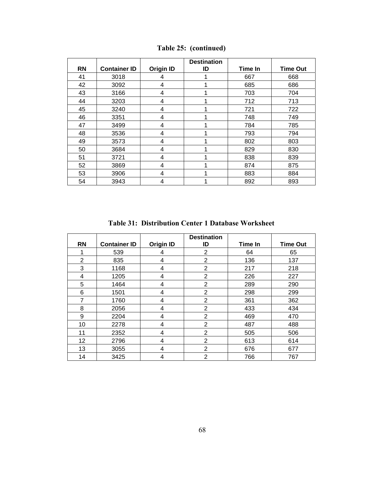| <b>RN</b> | <b>Container ID</b> | <b>Origin ID</b> | <b>Destination</b><br>ID | Time In | <b>Time Out</b> |
|-----------|---------------------|------------------|--------------------------|---------|-----------------|
|           |                     |                  |                          |         |                 |
| 41        | 3018                | 4                |                          | 667     | 668             |
| 42        | 3092                | 4                |                          | 685     | 686             |
| 43        | 3166                | 4                |                          | 703     | 704             |
| 44        | 3203                | 4                |                          | 712     | 713             |
| 45        | 3240                | 4                |                          | 721     | 722             |
| 46        | 3351                | 4                |                          | 748     | 749             |
| 47        | 3499                | 4                |                          | 784     | 785             |
| 48        | 3536                | 4                |                          | 793     | 794             |
| 49        | 3573                | 4                |                          | 802     | 803             |
| 50        | 3684                | 4                |                          | 829     | 830             |
| 51        | 3721                | 4                |                          | 838     | 839             |
| 52        | 3869                | 4                |                          | 874     | 875             |
| 53        | 3906                | 4                |                          | 883     | 884             |
| 54        | 3943                | 4                |                          | 892     | 893             |

**[Table 25:](#page-77-0) (continued)** 

**Table 31: Distribution Center 1 Database Worksheet** 

| <b>RN</b>      | <b>Container ID</b> | <b>Origin ID</b> | <b>Destination</b><br>ID | Time In | <b>Time Out</b> |
|----------------|---------------------|------------------|--------------------------|---------|-----------------|
|                |                     |                  |                          |         |                 |
|                | 539                 | 4                | 2                        | 64      | 65              |
| $\overline{2}$ | 835                 | 4                | 2                        | 136     | 137             |
| 3              | 1168                | 4                | $\overline{2}$           | 217     | 218             |
| 4              | 1205                | 4                | 2                        | 226     | 227             |
| 5              | 1464                | 4                | 2                        | 289     | 290             |
| 6              | 1501                | 4                | $\overline{2}$           | 298     | 299             |
| 7              | 1760                | 4                | $\overline{2}$           | 361     | 362             |
| 8              | 2056                | 4                | $\overline{2}$           | 433     | 434             |
| 9              | 2204                | 4                | $\overline{2}$           | 469     | 470             |
| 10             | 2278                | 4                | $\overline{2}$           | 487     | 488             |
| 11             | 2352                | 4                | $\overline{2}$           | 505     | 506             |
| 12             | 2796                | 4                | $\overline{2}$           | 613     | 614             |
| 13             | 3055                | 4                | 2                        | 676     | 677             |
| 14             | 3425                | 4                | $\overline{2}$           | 766     | 767             |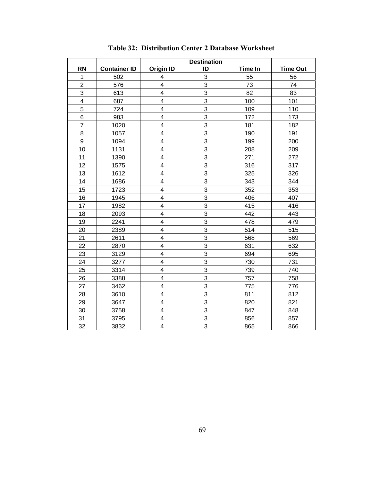|                |                     |                         | <b>Destination</b> |                |                 |
|----------------|---------------------|-------------------------|--------------------|----------------|-----------------|
| <b>RN</b>      | <b>Container ID</b> | <b>Origin ID</b>        | ID                 | <b>Time In</b> | <b>Time Out</b> |
| $\mathbf{1}$   | 502                 | 4                       | 3                  | 55             | 56              |
| $\overline{2}$ | 576                 | $\overline{\mathbf{4}}$ | 3                  | 73             | 74              |
| 3              | 613                 | $\overline{\mathbf{4}}$ | 3                  | 82             | 83              |
| 4              | 687                 | 4                       | 3                  | 100            | 101             |
| 5              | 724                 | 4                       | 3                  | 109            | 110             |
| 6              | 983                 | $\overline{\mathbf{4}}$ | 3                  | 172            | 173             |
| $\overline{7}$ | 1020                | $\overline{\mathbf{4}}$ | $\overline{3}$     | 181            | 182             |
| 8              | 1057                | $\overline{\mathbf{4}}$ | 3                  | 190            | 191             |
| 9              | 1094                | $\overline{\mathbf{4}}$ | $\overline{3}$     | 199            | 200             |
| 10             | 1131                | $\overline{\mathbf{4}}$ | $\overline{3}$     | 208            | 209             |
| 11             | 1390                | 4                       | 3                  | 271            | 272             |
| 12             | 1575                | 4                       | 3                  | 316            | 317             |
| 13             | 1612                | 4                       | 3                  | 325            | 326             |
| 14             | 1686                | $\overline{\mathbf{4}}$ | 3                  | 343            | 344             |
| 15             | 1723                | $\overline{\mathbf{4}}$ | 3                  | 352            | 353             |
| 16             | 1945                | $\overline{\mathbf{4}}$ | $\overline{3}$     | 406            | 407             |
| 17             | 1982                | $\overline{\mathbf{4}}$ | 3                  | 415            | 416             |
| 18             | 2093                | $\overline{\mathbf{4}}$ | 3                  | 442            | 443             |
| 19             | 2241                | $\overline{\mathbf{4}}$ | $\overline{3}$     | 478            | 479             |
| 20             | 2389                | 4                       | 3                  | 514            | 515             |
| 21             | 2611                | $\overline{\mathbf{4}}$ | 3                  | 568            | 569             |
| 22             | 2870                | $\overline{\mathbf{4}}$ | 3                  | 631            | 632             |
| 23             | 3129                | $\overline{\mathbf{4}}$ | 3                  | 694            | 695             |
| 24             | 3277                | $\overline{\mathbf{4}}$ | $\overline{3}$     | 730            | 731             |
| 25             | 3314                | $\overline{\mathbf{4}}$ | 3                  | 739            | 740             |
| 26             | 3388                | $\overline{\mathbf{4}}$ | 3                  | 757            | 758             |
| 27             | 3462                | $\overline{\mathbf{4}}$ | 3                  | 775            | 776             |
| 28             | 3610                | $\overline{\mathbf{4}}$ | 3                  | 811            | 812             |
| 29             | 3647                | $\overline{\mathbf{4}}$ | 3                  | 820            | 821             |
| 30             | 3758                | 4                       | 3                  | 847            | 848             |
| 31             | 3795                | $\overline{\mathbf{4}}$ | 3                  | 856            | 857             |
| 32             | 3832                | $\overline{\mathbf{4}}$ | 3                  | 865            | 866             |

**Table 32: Distribution Center 2 Database Worksheet**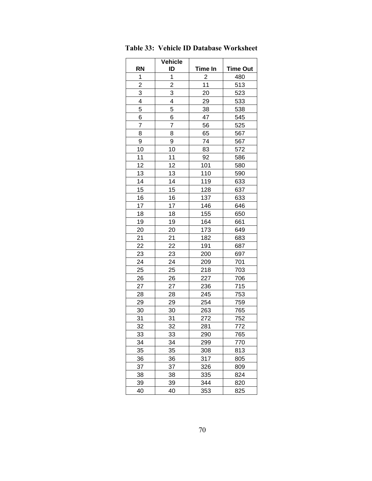|                         | <b>Vehicle</b>          |                |                 |
|-------------------------|-------------------------|----------------|-----------------|
| <b>RN</b>               | ID                      | Time In        | <b>Time Out</b> |
| 1                       | $\mathbf{1}$            | $\overline{2}$ | 480             |
| $\overline{\mathbf{c}}$ | $\overline{\mathbf{c}}$ | 11             | 513             |
| 3                       | 3                       | 20             | 523             |
| $\overline{\mathbf{4}}$ | 4                       | 29             | 533             |
| 5                       | 5                       | 38             | 538             |
| 6                       | 6                       | 47             | 545             |
| $\overline{7}$          | $\overline{7}$          | 56             | 525             |
| 8                       | 8                       | 65             | 567             |
| 9                       | 9                       | 74             | 567             |
| 10                      | 10                      | 83             | 572             |
| 11                      | 11                      | 92             | 586             |
| 12                      | 12                      | 101            | 580             |
| 13                      | 13                      | 110            | 590             |
| 14                      | 14                      | 119            | 633             |
| 15                      | 15                      | 128            | 637             |
| 16                      | 16                      | 137            | 633             |
| 17                      | 17                      | 146            | 646             |
| 18                      | 18                      | 155            | 650             |
| 19                      | 19                      | 164            | 661             |
| 20                      | 20                      | 173            | 649             |
| 21                      | 21                      | 182            | 683             |
| 22                      | 22                      | 191            | 687             |
| 23                      | 23                      | 200            | 697             |
| 24                      | 24                      | 209            | 701             |
| 25                      | 25                      | 218            | 703             |
| 26                      | 26                      | 227            | 706             |
| 27                      | 27                      | 236            | 715             |
| 28                      | 28                      | 245            | 753             |
| 29                      | 29                      | 254            | 759             |
| 30                      | 30                      | 263            | 765             |
| 31                      | 31                      | 272            | 752             |
| $\frac{32}{2}$          | 32                      | 281            | 772             |
| 33                      | 33                      | 290            | 765             |
| 34                      | 34                      | 299            | 770             |
| 35                      | 35                      | 308            | 813             |
| 36                      | 36                      | 317            | 805             |
| 37                      | 37                      | 326            | 809             |
| 38                      | 38                      | 335            | 824             |
| 39                      | 39                      | 344            | 820             |
| 40                      | 40                      | 353            | 825             |
|                         |                         |                |                 |

<span id="page-80-0"></span>**Table 33: Vehicle ID Database Worksheet**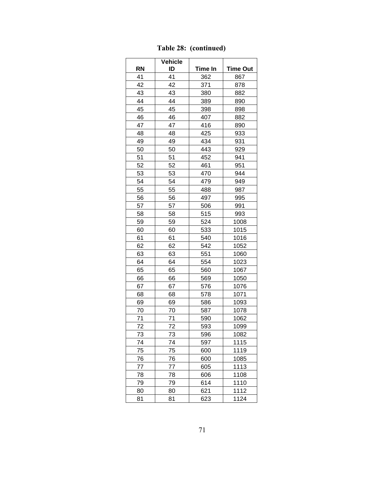|           | <b>Vehicle</b> |         |                 |
|-----------|----------------|---------|-----------------|
| <b>RN</b> | ID             | Time In | <b>Time Out</b> |
| 41        | 41             | 362     | 867             |
| 42        | 42             | 371     | 878             |
| 43        | 43             | 380     | 882             |
| 44        | 44             | 389     | 890             |
| 45        | 45             | 398     | 898             |
| 46        | 46             | 407     | 882             |
| 47        | 47             | 416     | 890             |
| 48        | 48             | 425     | 933             |
| 49        | 49             | 434     | 931             |
| 50        | 50             | 443     | 929             |
| 51        | 51             | 452     | 941             |
| 52        | 52             | 461     | 951             |
| 53        | 53             | 470     | 944             |
| 54        | 54             | 479     | 949             |
| 55        | 55             | 488     | 987             |
| 56        | 56             | 497     | 995             |
| 57        | 57             | 506     | 991             |
| 58        | 58             | 515     | 993             |
| 59        | 59             | 524     | 1008            |
| 60        | 60             | 533     | 1015            |
| 61        | 61             | 540     | 1016            |
| 62        | 62             | 542     | 1052            |
| 63        | 63             | 551     | 1060            |
| 64        | 64             | 554     | 1023            |
| 65        | 65             | 560     | 1067            |
| 66        | 66             | 569     | 1050            |
| 67        | 67             | 576     | 1076            |
| 68        | 68             | 578     | 1071            |
| 69        | 69             | 586     | 1093            |
| 70        | 70             | 587     | 1078            |
| 71        | 71             | 590     | 1062            |
| 72        | 72             | 593     | 1099            |
| 73        | 73             | 596     | 1082            |
| 74        | 74             | 597     | 1115            |
| 75        | 75             | 600     | 1119            |
| 76        | 76             | 600     | 1085            |
| 77        | 77             | 605     | 1113            |
| 78        | 78             | 606     | 1108            |
| 79        | 79             | 614     | 1110            |
| 80        | 80             | 621     | 1112            |
| 81        | 81             | 623     | 1124            |

**[Table 28:](#page-80-0) (continued)**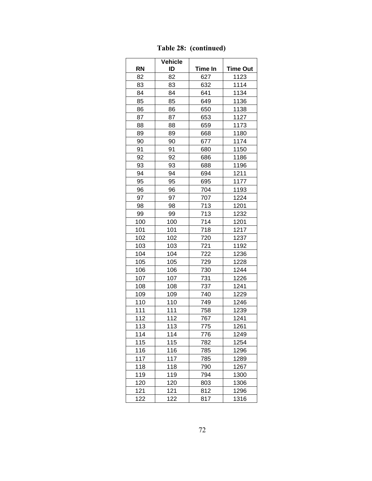|           | <b>Vehicle</b> |         |                 |
|-----------|----------------|---------|-----------------|
| <b>RN</b> | ID             | Time In | <b>Time Out</b> |
| 82        | 82             | 627     | 1123            |
| 83        | 83             | 632     | 1114            |
| 84        | 84             | 641     | 1134            |
| 85        | 85             | 649     | 1136            |
| 86        | 86             | 650     | 1138            |
| 87        | 87             | 653     | 1127            |
| 88        | 88             | 659     | 1173            |
| 89        | 89             | 668     | 1180            |
| 90        | 90             | 677     | 1174            |
| 91        | 91             | 680     | 1150            |
| 92        | 92             | 686     | 1186            |
| 93        | 93             | 688     | 1196            |
| 94        | 94             | 694     | 1211            |
| 95        | 95             | 695     | 1177            |
| 96        | 96             | 704     | 1193            |
| 97        | 97             | 707     | 1224            |
| 98        | 98             | 713     | 1201            |
| 99        | 99             | 713     | 1232            |
| 100       | 100            | 714     | 1201            |
| 101       | 101            | 718     | 1217            |
| 102       | 102            | 720     | 1237            |
| 103       | 103            | 721     | 1192            |
| 104       | 104            | 722     | 1236            |
| 105       | 105            | 729     | 1228            |
| 106       | 106            | 730     | 1244            |
| 107       | 107            | 731     | 1226            |
| 108       | 108            | 737     | 1241            |
| 109       | 109            | 740     | 1229            |
| 110       | 110            | 749     | 1246            |
| 111       | 111            | 758     | 1239            |
| 112       | 112            | 767     | 1241            |
| 113       | 113            | 775     | 1261            |
| 114       | 114            | 776     | 1249            |
| 115       | 115            | 782     | 1254            |
| 116       | 116            | 785     | 1296            |
| 117       | 117            | 785     | 1289            |
| 118       | 118            | 790     | 1267            |
| 119       | 119            | 794     | 1300            |
| 120       | 120            | 803     | 1306            |
| 121       | 121            | 812     | 1296            |
| 122       | 122            | 817     | 1316            |

**[Table 28:](#page-80-0) (continued)**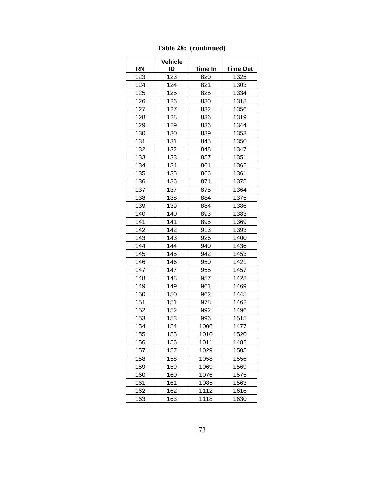|           | <b>Vehicle</b> |         |                 |
|-----------|----------------|---------|-----------------|
| <b>RN</b> | ID             | Time In | <b>Time Out</b> |
| 123       | 123            | 820     | 1325            |
| 124       | 124            | 821     | 1303            |
| 125       | 125            | 825     | 1334            |
| 126       | 126            | 830     | 1318            |
| 127       | 127            | 832     | 1356            |
| 128       | 128            | 836     | 1319            |
| 129       | 129            | 836     | 1344            |
| 130       | 130            | 839     | 1353            |
| 131       | 131            | 845     | 1350            |
| 132       | 132            | 848     | 1347            |
| 133       | 133            | 857     | 1351            |
| 134       | 134            | 861     | 1362            |
| 135       | 135            | 866     | 1361            |
| 136       | 136            | 871     | 1378            |
| 137       | 137            | 875     | 1364            |
| 138       | 138            | 884     | 1375            |
| 139       | 139            | 884     | 1386            |
| 140       | 140            | 893     | 1383            |
| 141       | 141            | 895     | 1369            |
| 142       | 142            | 913     | 1393            |
| 143       | 143            | 926     | 1400            |
| 144       | 144            | 940     | 1436            |
| 145       | 145            | 942     | 1453            |
| 146       | 146            | 950     | 1421            |
| 147       | 147            | 955     | 1457            |
| 148       | 148            | 957     | 1428            |
| 149       | 149            | 961     | 1469            |
| 150       | 150            | 962     | 1445            |
| 151       | 151            | 978     | 1462            |
| 152       | 152            | 992     | 1496            |
| 153       | 153            | 996     | 1515            |
| 154       | 154            | 1006    | 1477            |
| 155       | 155            | 1010    | 1520            |
| 156       | 156            | 1011    | 1482            |
| 157       | 157            | 1029    | 1505            |
| 158       | 158            | 1058    | 1556            |
| 159       | 159            | 1069    | 1569            |
| 160       | 160            | 1076    | 1575            |
| 161       | 161            | 1085    | 1563            |
| 162       | 162            | 1112    | 1616            |
| 163       | 163            | 1118    | 1630            |

**[Table 28:](#page-80-0) (continued)**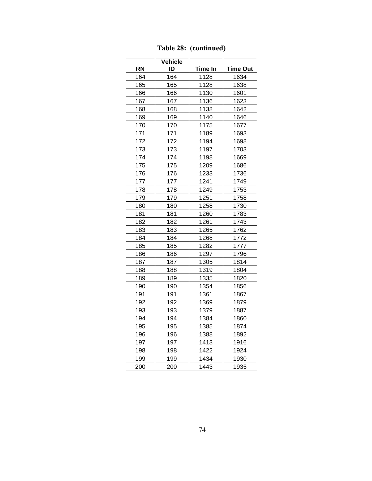|           | <b>Vehicle</b> |         |                 |
|-----------|----------------|---------|-----------------|
| <b>RN</b> | ID             | Time In | <b>Time Out</b> |
| 164       | 164            | 1128    | 1634            |
| 165       | 165            | 1128    | 1638            |
| 166       | 166            | 1130    | 1601            |
| 167       | 167            | 1136    | 1623            |
| 168       | 168            | 1138    | 1642            |
| 169       | 169            | 1140    | 1646            |
| 170       | 170            | 1175    | 1677            |
| 171       | 171            | 1189    | 1693            |
| 172       | 172            | 1194    | 1698            |
| 173       | 173            | 1197    | 1703            |
| 174       | 174            | 1198    | 1669            |
| 175       | 175            | 1209    | 1686            |
| 176       | 176            | 1233    | 1736            |
| 177       | 177            | 1241    | 1749            |
| 178       | 178            | 1249    | 1753            |
| 179       | 179            | 1251    | 1758            |
| 180       | 180            | 1258    | 1730            |
| 181       | 181            | 1260    | 1783            |
| 182       | 182            | 1261    | 1743            |
| 183       | 183            | 1265    | 1762            |
| 184       | 184            | 1268    | 1772            |
| 185       | 185            | 1282    | 1777            |
| 186       | 186            | 1297    | 1796            |
| 187       | 187            | 1305    | 1814            |
| 188       | 188            | 1319    | 1804            |
| 189       | 189            | 1335    | 1820            |
| 190       | 190            | 1354    | 1856            |
| 191       | 191            | 1361    | 1867            |
| 192       | 192            | 1369    | 1879            |
| 193       | 193            | 1379    | 1887            |
| 194       | 194            | 1384    | 1860            |
| 195       | 195            | 1385    | 1874            |
| 196       | 196            | 1388    | 1892            |
| 197       | 197            | 1413    | 1916            |
| 198       | 198            | 1422    | 1924            |
| 199       | 199            | 1434    | 1930            |
| 200       | 200            | 1443    | 1935            |

**[Table 28:](#page-80-0) (continued)**